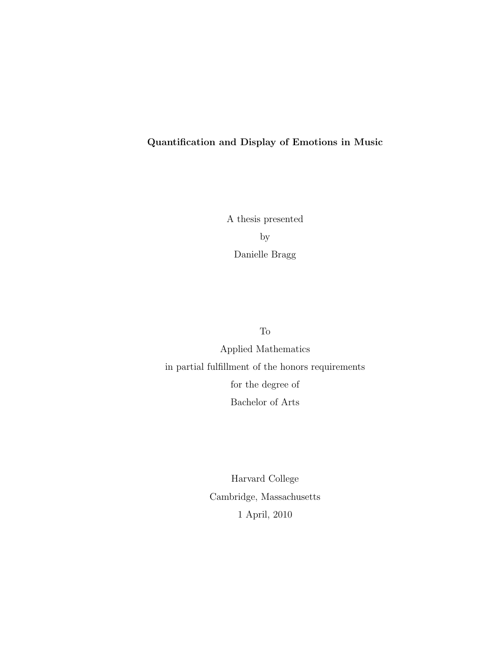#### Quantification and Display of Emotions in Music

A thesis presented by Danielle Bragg

To

Applied Mathematics in partial fulfillment of the honors requirements for the degree of Bachelor of Arts

> Harvard College Cambridge, Massachusetts 1 April, 2010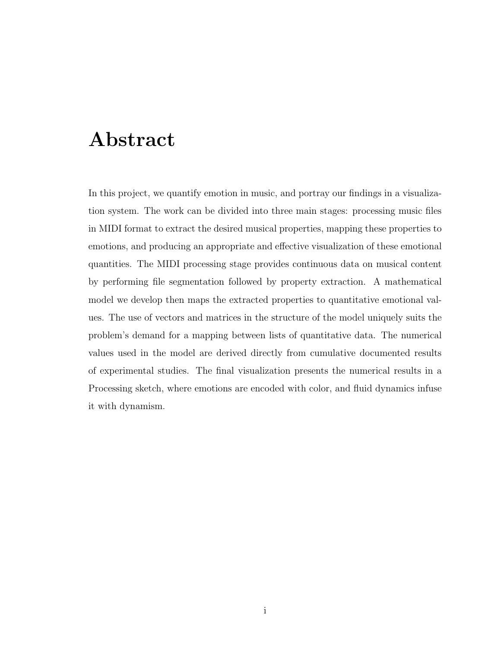# Abstract

In this project, we quantify emotion in music, and portray our findings in a visualization system. The work can be divided into three main stages: processing music files in MIDI format to extract the desired musical properties, mapping these properties to emotions, and producing an appropriate and effective visualization of these emotional quantities. The MIDI processing stage provides continuous data on musical content by performing file segmentation followed by property extraction. A mathematical model we develop then maps the extracted properties to quantitative emotional values. The use of vectors and matrices in the structure of the model uniquely suits the problem's demand for a mapping between lists of quantitative data. The numerical values used in the model are derived directly from cumulative documented results of experimental studies. The final visualization presents the numerical results in a Processing sketch, where emotions are encoded with color, and fluid dynamics infuse it with dynamism.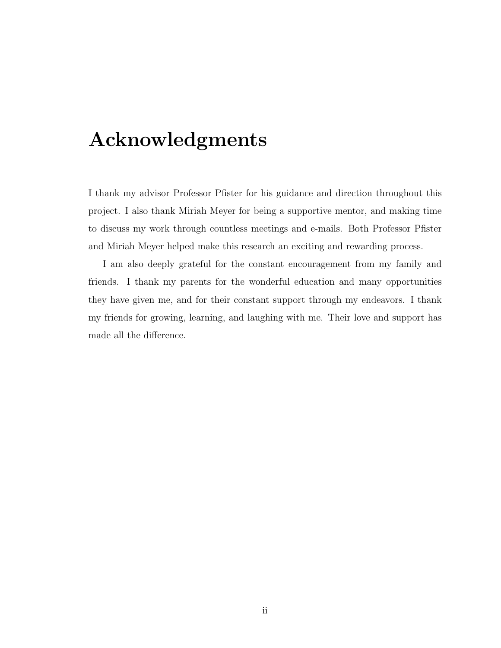# Acknowledgments

I thank my advisor Professor Pfister for his guidance and direction throughout this project. I also thank Miriah Meyer for being a supportive mentor, and making time to discuss my work through countless meetings and e-mails. Both Professor Pfister and Miriah Meyer helped make this research an exciting and rewarding process.

I am also deeply grateful for the constant encouragement from my family and friends. I thank my parents for the wonderful education and many opportunities they have given me, and for their constant support through my endeavors. I thank my friends for growing, learning, and laughing with me. Their love and support has made all the difference.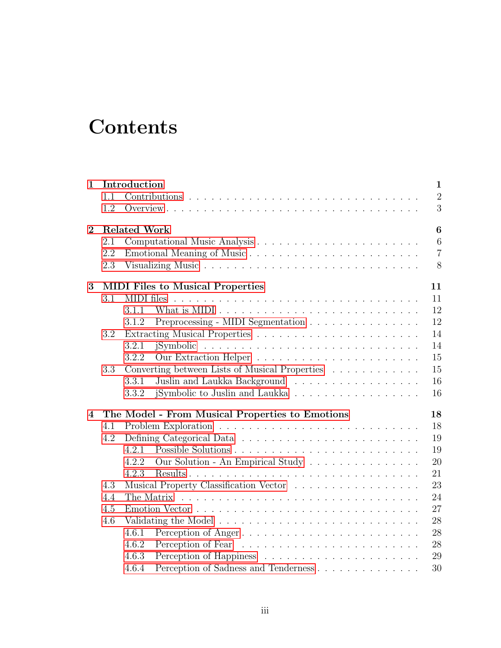# **Contents**

| $\mathbf{1}$   |                                         | Introduction |                                                 |                |  |  |  |  |  |  |  |
|----------------|-----------------------------------------|--------------|-------------------------------------------------|----------------|--|--|--|--|--|--|--|
|                | 1.1                                     |              |                                                 | $\overline{2}$ |  |  |  |  |  |  |  |
|                | 1.2                                     |              |                                                 | 3              |  |  |  |  |  |  |  |
| $\overline{2}$ | <b>Related Work</b><br>$\boldsymbol{6}$ |              |                                                 |                |  |  |  |  |  |  |  |
|                | 2.1                                     |              |                                                 | 6              |  |  |  |  |  |  |  |
|                | 2.2                                     |              |                                                 | $\overline{7}$ |  |  |  |  |  |  |  |
|                | 2.3                                     |              |                                                 | 8              |  |  |  |  |  |  |  |
| 3              |                                         |              | <b>MIDI</b> Files to Musical Properties         | 11             |  |  |  |  |  |  |  |
|                | 3.1                                     | MIDI files   |                                                 | 11             |  |  |  |  |  |  |  |
|                |                                         | 3.1.1        |                                                 | 12             |  |  |  |  |  |  |  |
|                |                                         | 3.1.2        | Preprocessing - MIDI Segmentation               | 12             |  |  |  |  |  |  |  |
|                | 3.2                                     |              |                                                 | 14             |  |  |  |  |  |  |  |
|                |                                         | 3.2.1        |                                                 | 14             |  |  |  |  |  |  |  |
|                |                                         | 3.2.2        |                                                 | 15             |  |  |  |  |  |  |  |
|                | 3.3                                     |              | Converting between Lists of Musical Properties  | 15             |  |  |  |  |  |  |  |
|                |                                         | 3.3.1        | Juslin and Laukka Background                    | 16             |  |  |  |  |  |  |  |
|                |                                         | 3.3.2        | jSymbolic to Juslin and Laukka                  | 16             |  |  |  |  |  |  |  |
| 4              |                                         |              | The Model - From Musical Properties to Emotions | 18             |  |  |  |  |  |  |  |
|                | 4.1                                     |              |                                                 |                |  |  |  |  |  |  |  |
|                | 4.2                                     |              |                                                 | 19             |  |  |  |  |  |  |  |
|                |                                         | 4.2.1        |                                                 | 19             |  |  |  |  |  |  |  |
|                |                                         | 4.2.2        | Our Solution - An Empirical Study               | 20             |  |  |  |  |  |  |  |
|                |                                         | 4.2.3        |                                                 | 21             |  |  |  |  |  |  |  |
|                | 4.3                                     |              | Musical Property Classification Vector          | 23             |  |  |  |  |  |  |  |
|                | 4.4                                     | The Matrix   |                                                 |                |  |  |  |  |  |  |  |
|                | 4.5                                     | 27           |                                                 |                |  |  |  |  |  |  |  |
|                | 4.6                                     | 28           |                                                 |                |  |  |  |  |  |  |  |
|                |                                         | 4.6.1        | Perception of Anger                             | 28             |  |  |  |  |  |  |  |
|                |                                         | 4.6.2        |                                                 | 28             |  |  |  |  |  |  |  |
|                |                                         | 4.6.3        |                                                 | 29             |  |  |  |  |  |  |  |
|                |                                         | 4.6.4        |                                                 | 30             |  |  |  |  |  |  |  |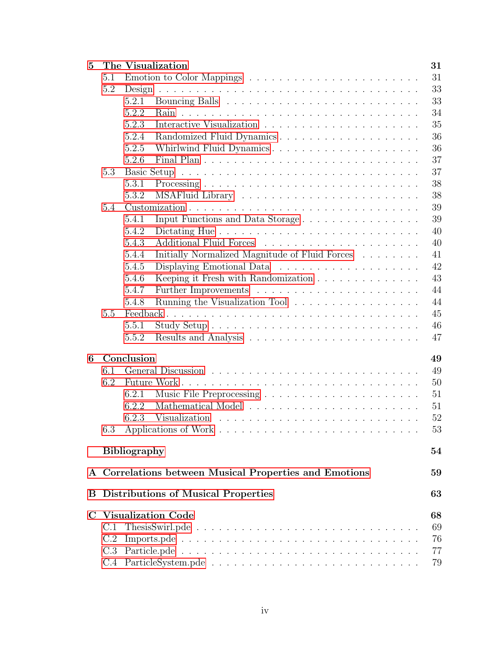| $\bf{5}$     |                                                      | The Visualization                                       |          |  |  |  |  |  |  |
|--------------|------------------------------------------------------|---------------------------------------------------------|----------|--|--|--|--|--|--|
|              | 5.1                                                  |                                                         | 31       |  |  |  |  |  |  |
|              | 5.2                                                  |                                                         |          |  |  |  |  |  |  |
|              |                                                      | 5.2.1                                                   | 33       |  |  |  |  |  |  |
|              |                                                      | 5.2.2                                                   | 34       |  |  |  |  |  |  |
|              |                                                      | 5.2.3                                                   | 35       |  |  |  |  |  |  |
|              |                                                      | 5.2.4<br>Randomized Fluid Dynamics                      | 36       |  |  |  |  |  |  |
|              |                                                      | 5.2.5<br>Whirlwind Fluid Dynamics                       | 36       |  |  |  |  |  |  |
|              |                                                      | 5.2.6                                                   | 37       |  |  |  |  |  |  |
|              | 5.3                                                  |                                                         | 37       |  |  |  |  |  |  |
|              |                                                      | 5.3.1                                                   | 38       |  |  |  |  |  |  |
|              |                                                      | 5.3.2                                                   | 38       |  |  |  |  |  |  |
|              | 5.4                                                  |                                                         | 39       |  |  |  |  |  |  |
|              |                                                      | Input Functions and Data Storage<br>5.4.1               | 39       |  |  |  |  |  |  |
|              |                                                      | 5.4.2                                                   | 40       |  |  |  |  |  |  |
|              |                                                      | 5.4.3                                                   | 40       |  |  |  |  |  |  |
|              |                                                      | Initially Normalized Magnitude of Fluid Forces<br>5.4.4 | 41       |  |  |  |  |  |  |
|              |                                                      | 5.4.5                                                   | 42       |  |  |  |  |  |  |
|              |                                                      | Keeping it Fresh with Randomization<br>5.4.6            | 43       |  |  |  |  |  |  |
|              |                                                      | 5.4.7                                                   | 44       |  |  |  |  |  |  |
|              |                                                      | Running the Visualization Tool<br>5.4.8                 | 44       |  |  |  |  |  |  |
|              | 5.5                                                  |                                                         | 45       |  |  |  |  |  |  |
|              |                                                      | 5.5.1                                                   | 46       |  |  |  |  |  |  |
|              |                                                      | 5.5.2                                                   | 47       |  |  |  |  |  |  |
|              |                                                      |                                                         |          |  |  |  |  |  |  |
| 6            |                                                      | Conclusion                                              | 49       |  |  |  |  |  |  |
|              | 6.1                                                  |                                                         | 49       |  |  |  |  |  |  |
|              | 6.2                                                  |                                                         | 50       |  |  |  |  |  |  |
|              |                                                      | 6.2.1                                                   | 51       |  |  |  |  |  |  |
|              |                                                      | 6.2.2                                                   | 51       |  |  |  |  |  |  |
|              |                                                      | 6.2.3                                                   | 52       |  |  |  |  |  |  |
|              | 6.3                                                  |                                                         | 53       |  |  |  |  |  |  |
|              | <b>Bibliography</b>                                  |                                                         |          |  |  |  |  |  |  |
| $\mathbf{A}$ | Correlations between Musical Properties and Emotions |                                                         |          |  |  |  |  |  |  |
|              | <b>B</b> Distributions of Musical Properties         |                                                         |          |  |  |  |  |  |  |
| $\bf C$      | <b>Visualization Code</b>                            |                                                         |          |  |  |  |  |  |  |
|              | C.1                                                  |                                                         | 68<br>69 |  |  |  |  |  |  |
|              | C.2                                                  |                                                         | 76       |  |  |  |  |  |  |
|              |                                                      |                                                         | 77       |  |  |  |  |  |  |
|              |                                                      |                                                         | 79       |  |  |  |  |  |  |
|              |                                                      |                                                         |          |  |  |  |  |  |  |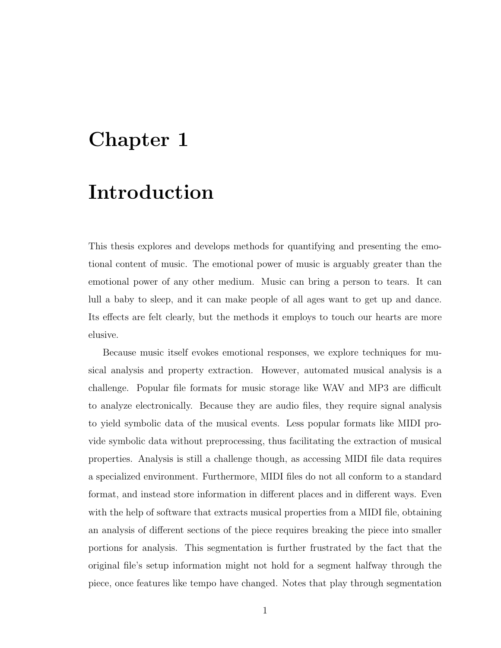# <span id="page-5-0"></span>Chapter 1

# Introduction

This thesis explores and develops methods for quantifying and presenting the emotional content of music. The emotional power of music is arguably greater than the emotional power of any other medium. Music can bring a person to tears. It can lull a baby to sleep, and it can make people of all ages want to get up and dance. Its effects are felt clearly, but the methods it employs to touch our hearts are more elusive.

Because music itself evokes emotional responses, we explore techniques for musical analysis and property extraction. However, automated musical analysis is a challenge. Popular file formats for music storage like WAV and MP3 are difficult to analyze electronically. Because they are audio files, they require signal analysis to yield symbolic data of the musical events. Less popular formats like MIDI provide symbolic data without preprocessing, thus facilitating the extraction of musical properties. Analysis is still a challenge though, as accessing MIDI file data requires a specialized environment. Furthermore, MIDI files do not all conform to a standard format, and instead store information in different places and in different ways. Even with the help of software that extracts musical properties from a MIDI file, obtaining an analysis of different sections of the piece requires breaking the piece into smaller portions for analysis. This segmentation is further frustrated by the fact that the original file's setup information might not hold for a segment halfway through the piece, once features like tempo have changed. Notes that play through segmentation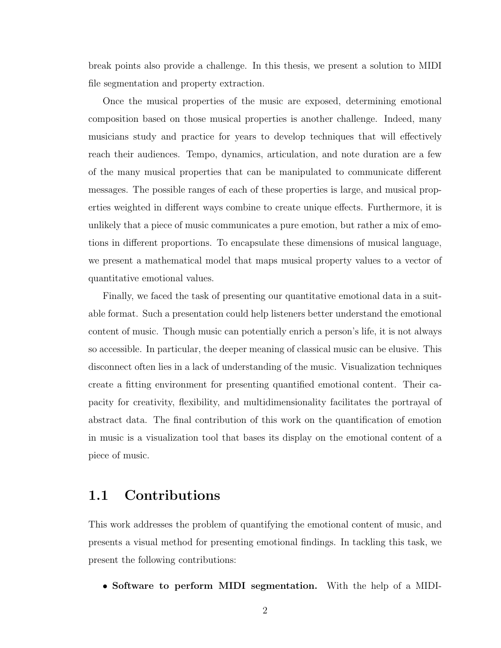break points also provide a challenge. In this thesis, we present a solution to MIDI file segmentation and property extraction.

Once the musical properties of the music are exposed, determining emotional composition based on those musical properties is another challenge. Indeed, many musicians study and practice for years to develop techniques that will effectively reach their audiences. Tempo, dynamics, articulation, and note duration are a few of the many musical properties that can be manipulated to communicate different messages. The possible ranges of each of these properties is large, and musical properties weighted in different ways combine to create unique effects. Furthermore, it is unlikely that a piece of music communicates a pure emotion, but rather a mix of emotions in different proportions. To encapsulate these dimensions of musical language, we present a mathematical model that maps musical property values to a vector of quantitative emotional values.

Finally, we faced the task of presenting our quantitative emotional data in a suitable format. Such a presentation could help listeners better understand the emotional content of music. Though music can potentially enrich a person's life, it is not always so accessible. In particular, the deeper meaning of classical music can be elusive. This disconnect often lies in a lack of understanding of the music. Visualization techniques create a fitting environment for presenting quantified emotional content. Their capacity for creativity, flexibility, and multidimensionality facilitates the portrayal of abstract data. The final contribution of this work on the quantification of emotion in music is a visualization tool that bases its display on the emotional content of a piece of music.

### <span id="page-6-0"></span>1.1 Contributions

This work addresses the problem of quantifying the emotional content of music, and presents a visual method for presenting emotional findings. In tackling this task, we present the following contributions:

• Software to perform MIDI segmentation. With the help of a MIDI-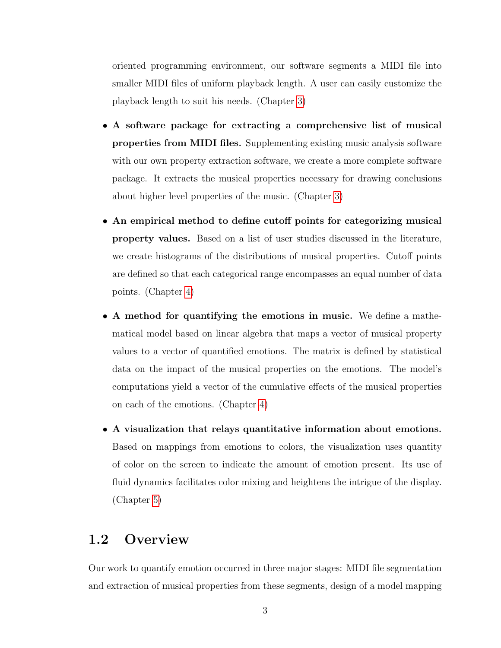oriented programming environment, our software segments a MIDI file into smaller MIDI files of uniform playback length. A user can easily customize the playback length to suit his needs. (Chapter [3\)](#page-15-0)

- A software package for extracting a comprehensive list of musical properties from MIDI files. Supplementing existing music analysis software with our own property extraction software, we create a more complete software package. It extracts the musical properties necessary for drawing conclusions about higher level properties of the music. (Chapter [3\)](#page-15-0)
- An empirical method to define cutoff points for categorizing musical property values. Based on a list of user studies discussed in the literature, we create histograms of the distributions of musical properties. Cutoff points are defined so that each categorical range encompasses an equal number of data points. (Chapter [4\)](#page-22-0)
- A method for quantifying the emotions in music. We define a mathematical model based on linear algebra that maps a vector of musical property values to a vector of quantified emotions. The matrix is defined by statistical data on the impact of the musical properties on the emotions. The model's computations yield a vector of the cumulative effects of the musical properties on each of the emotions. (Chapter [4\)](#page-22-0)
- A visualization that relays quantitative information about emotions. Based on mappings from emotions to colors, the visualization uses quantity of color on the screen to indicate the amount of emotion present. Its use of fluid dynamics facilitates color mixing and heightens the intrigue of the display. (Chapter [5\)](#page-35-0)

### <span id="page-7-0"></span>1.2 Overview

Our work to quantify emotion occurred in three major stages: MIDI file segmentation and extraction of musical properties from these segments, design of a model mapping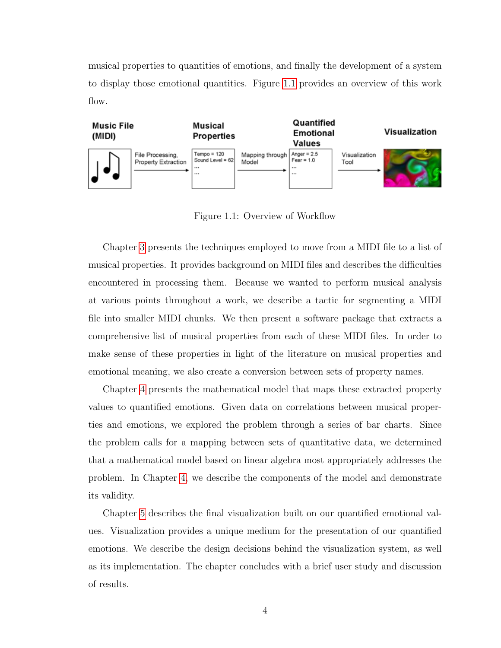musical properties to quantities of emotions, and finally the development of a system to display those emotional quantities. Figure [1.1](#page-8-0) provides an overview of this work flow.



<span id="page-8-0"></span>Figure 1.1: Overview of Workflow

Chapter [3](#page-15-0) presents the techniques employed to move from a MIDI file to a list of musical properties. It provides background on MIDI files and describes the difficulties encountered in processing them. Because we wanted to perform musical analysis at various points throughout a work, we describe a tactic for segmenting a MIDI file into smaller MIDI chunks. We then present a software package that extracts a comprehensive list of musical properties from each of these MIDI files. In order to make sense of these properties in light of the literature on musical properties and emotional meaning, we also create a conversion between sets of property names.

Chapter [4](#page-22-0) presents the mathematical model that maps these extracted property values to quantified emotions. Given data on correlations between musical properties and emotions, we explored the problem through a series of bar charts. Since the problem calls for a mapping between sets of quantitative data, we determined that a mathematical model based on linear algebra most appropriately addresses the problem. In Chapter [4,](#page-22-0) we describe the components of the model and demonstrate its validity.

Chapter [5](#page-35-0) describes the final visualization built on our quantified emotional values. Visualization provides a unique medium for the presentation of our quantified emotions. We describe the design decisions behind the visualization system, as well as its implementation. The chapter concludes with a brief user study and discussion of results.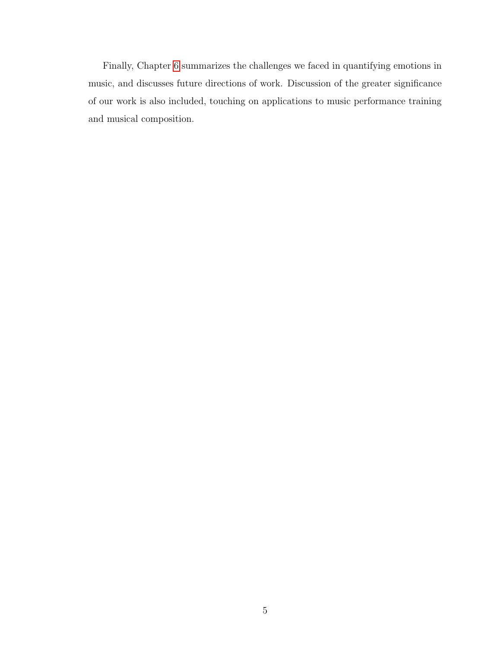Finally, Chapter [6](#page-53-0) summarizes the challenges we faced in quantifying emotions in music, and discusses future directions of work. Discussion of the greater significance of our work is also included, touching on applications to music performance training and musical composition.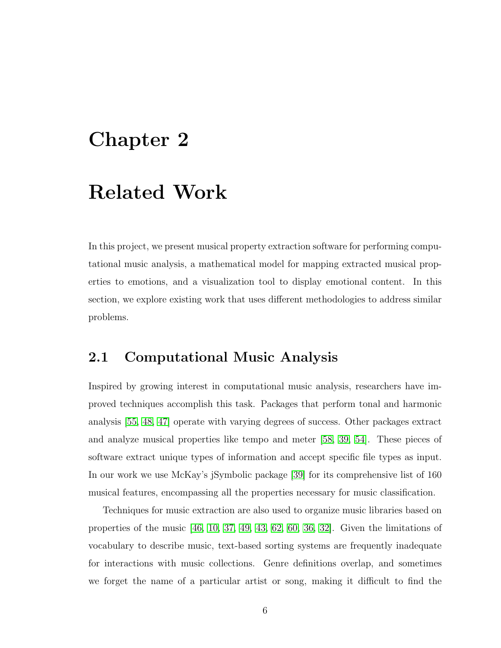# <span id="page-10-0"></span>Chapter 2

# Related Work

In this project, we present musical property extraction software for performing computational music analysis, a mathematical model for mapping extracted musical properties to emotions, and a visualization tool to display emotional content. In this section, we explore existing work that uses different methodologies to address similar problems.

### <span id="page-10-1"></span>2.1 Computational Music Analysis

Inspired by growing interest in computational music analysis, researchers have improved techniques accomplish this task. Packages that perform tonal and harmonic analysis [\[55,](#page-62-0) [48,](#page-61-0) [47\]](#page-61-1) operate with varying degrees of success. Other packages extract and analyze musical properties like tempo and meter [\[58,](#page-62-1) [39,](#page-60-0) [54\]](#page-62-2). These pieces of software extract unique types of information and accept specific file types as input. In our work we use McKay's jSymbolic package [\[39\]](#page-60-0) for its comprehensive list of 160 musical features, encompassing all the properties necessary for music classification.

Techniques for music extraction are also used to organize music libraries based on properties of the music  $[46, 10, 37, 49, 43, 62, 60, 36, 32]$  $[46, 10, 37, 49, 43, 62, 60, 36, 32]$  $[46, 10, 37, 49, 43, 62, 60, 36, 32]$  $[46, 10, 37, 49, 43, 62, 60, 36, 32]$  $[46, 10, 37, 49, 43, 62, 60, 36, 32]$  $[46, 10, 37, 49, 43, 62, 60, 36, 32]$  $[46, 10, 37, 49, 43, 62, 60, 36, 32]$  $[46, 10, 37, 49, 43, 62, 60, 36, 32]$  $[46, 10, 37, 49, 43, 62, 60, 36, 32]$ . Given the limitations of vocabulary to describe music, text-based sorting systems are frequently inadequate for interactions with music collections. Genre definitions overlap, and sometimes we forget the name of a particular artist or song, making it difficult to find the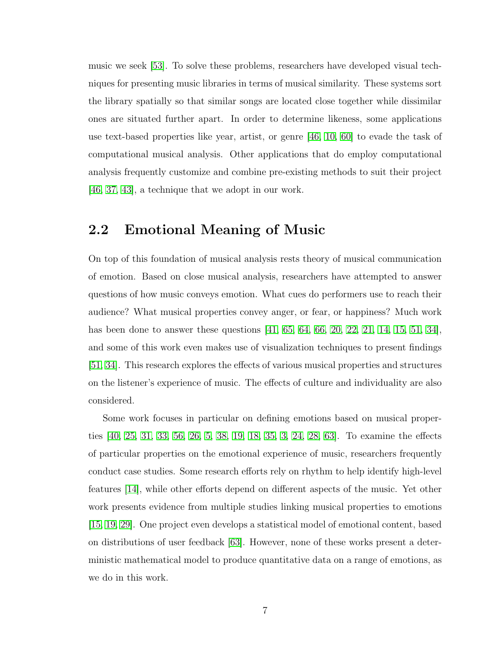music we seek [\[53\]](#page-61-5). To solve these problems, researchers have developed visual techniques for presenting music libraries in terms of musical similarity. These systems sort the library spatially so that similar songs are located close together while dissimilar ones are situated further apart. In order to determine likeness, some applications use text-based properties like year, artist, or genre [\[46,](#page-61-2) [10,](#page-58-1) [60\]](#page-62-4) to evade the task of computational musical analysis. Other applications that do employ computational analysis frequently customize and combine pre-existing methods to suit their project [\[46,](#page-61-2) [37,](#page-60-1) [43\]](#page-61-4), a technique that we adopt in our work.

### <span id="page-11-0"></span>2.2 Emotional Meaning of Music

On top of this foundation of musical analysis rests theory of musical communication of emotion. Based on close musical analysis, researchers have attempted to answer questions of how music conveys emotion. What cues do performers use to reach their audience? What musical properties convey anger, or fear, or happiness? Much work has been done to answer these questions [\[41,](#page-61-6) [65,](#page-62-5) [64,](#page-62-6) [66,](#page-62-7) [20,](#page-59-0) [22,](#page-59-1) [21,](#page-59-2) [14,](#page-59-3) [15,](#page-59-4) [51,](#page-61-7) [34\]](#page-60-4), and some of this work even makes use of visualization techniques to present findings [\[51,](#page-61-7) [34\]](#page-60-4). This research explores the effects of various musical properties and structures on the listener's experience of music. The effects of culture and individuality are also considered.

Some work focuses in particular on defining emotions based on musical properties [\[40,](#page-60-5) [25,](#page-59-5) [31,](#page-60-6) [33,](#page-60-7) [56,](#page-62-8) [26,](#page-59-6) [5,](#page-58-2) [38,](#page-60-8) [19,](#page-59-7) [18,](#page-59-8) [35,](#page-60-9) [3,](#page-58-3) [24,](#page-59-9) [28,](#page-60-10) [63\]](#page-62-9). To examine the effects of particular properties on the emotional experience of music, researchers frequently conduct case studies. Some research efforts rely on rhythm to help identify high-level features [\[14\]](#page-59-3), while other efforts depend on different aspects of the music. Yet other work presents evidence from multiple studies linking musical properties to emotions [\[15,](#page-59-4) [19,](#page-59-7) [29\]](#page-60-11). One project even develops a statistical model of emotional content, based on distributions of user feedback [\[63\]](#page-62-9). However, none of these works present a deterministic mathematical model to produce quantitative data on a range of emotions, as we do in this work.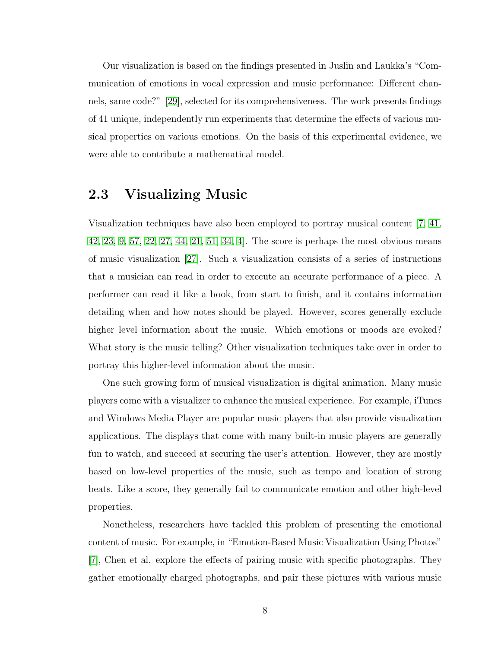Our visualization is based on the findings presented in Juslin and Laukka's "Communication of emotions in vocal expression and music performance: Different channels, same code?" [\[29\]](#page-60-11), selected for its comprehensiveness. The work presents findings of 41 unique, independently run experiments that determine the effects of various musical properties on various emotions. On the basis of this experimental evidence, we were able to contribute a mathematical model.

### <span id="page-12-0"></span>2.3 Visualizing Music

Visualization techniques have also been employed to portray musical content [\[7,](#page-58-4) [41,](#page-61-6) [42,](#page-61-8) [23,](#page-59-10) [9,](#page-58-5) [57,](#page-62-10) [22,](#page-59-1) [27,](#page-60-12) [44,](#page-61-9) [21,](#page-59-2) [51,](#page-61-7) [34,](#page-60-4) [4\]](#page-58-6). The score is perhaps the most obvious means of music visualization [\[27\]](#page-60-12). Such a visualization consists of a series of instructions that a musician can read in order to execute an accurate performance of a piece. A performer can read it like a book, from start to finish, and it contains information detailing when and how notes should be played. However, scores generally exclude higher level information about the music. Which emotions or moods are evoked? What story is the music telling? Other visualization techniques take over in order to portray this higher-level information about the music.

One such growing form of musical visualization is digital animation. Many music players come with a visualizer to enhance the musical experience. For example, iTunes and Windows Media Player are popular music players that also provide visualization applications. The displays that come with many built-in music players are generally fun to watch, and succeed at securing the user's attention. However, they are mostly based on low-level properties of the music, such as tempo and location of strong beats. Like a score, they generally fail to communicate emotion and other high-level properties.

Nonetheless, researchers have tackled this problem of presenting the emotional content of music. For example, in "Emotion-Based Music Visualization Using Photos" [\[7\]](#page-58-4), Chen et al. explore the effects of pairing music with specific photographs. They gather emotionally charged photographs, and pair these pictures with various music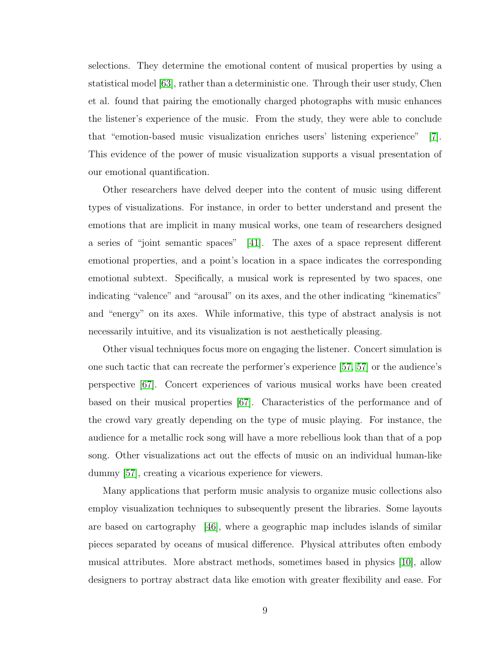selections. They determine the emotional content of musical properties by using a statistical model [\[63\]](#page-62-9), rather than a deterministic one. Through their user study, Chen et al. found that pairing the emotionally charged photographs with music enhances the listener's experience of the music. From the study, they were able to conclude that "emotion-based music visualization enriches users' listening experience" [\[7\]](#page-58-4). This evidence of the power of music visualization supports a visual presentation of our emotional quantification.

Other researchers have delved deeper into the content of music using different types of visualizations. For instance, in order to better understand and present the emotions that are implicit in many musical works, one team of researchers designed a series of "joint semantic spaces" [\[41\]](#page-61-6). The axes of a space represent different emotional properties, and a point's location in a space indicates the corresponding emotional subtext. Specifically, a musical work is represented by two spaces, one indicating "valence" and "arousal" on its axes, and the other indicating "kinematics" and "energy" on its axes. While informative, this type of abstract analysis is not necessarily intuitive, and its visualization is not aesthetically pleasing.

Other visual techniques focus more on engaging the listener. Concert simulation is one such tactic that can recreate the performer's experience [\[57, 57\]](#page-62-10) or the audience's perspective [\[67\]](#page-62-11). Concert experiences of various musical works have been created based on their musical properties [\[67\]](#page-62-11). Characteristics of the performance and of the crowd vary greatly depending on the type of music playing. For instance, the audience for a metallic rock song will have a more rebellious look than that of a pop song. Other visualizations act out the effects of music on an individual human-like dummy [\[57\]](#page-62-10), creating a vicarious experience for viewers.

Many applications that perform music analysis to organize music collections also employ visualization techniques to subsequently present the libraries. Some layouts are based on cartography  $\vert 46 \vert$ , where a geographic map includes islands of similar pieces separated by oceans of musical difference. Physical attributes often embody musical attributes. More abstract methods, sometimes based in physics [\[10\]](#page-58-1), allow designers to portray abstract data like emotion with greater flexibility and ease. For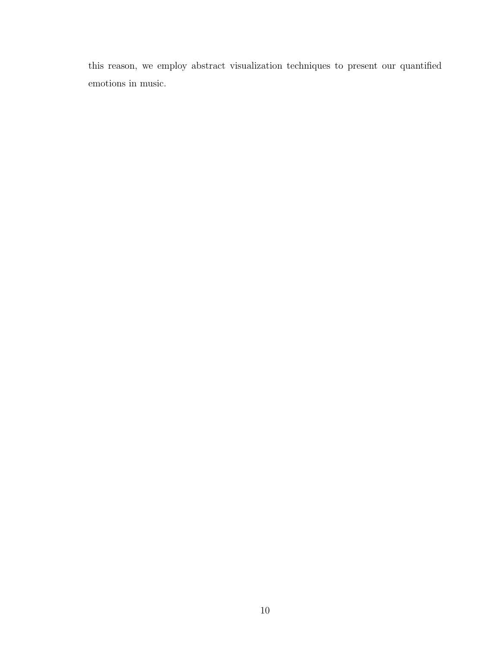this reason, we employ abstract visualization techniques to present our quantified emotions in music.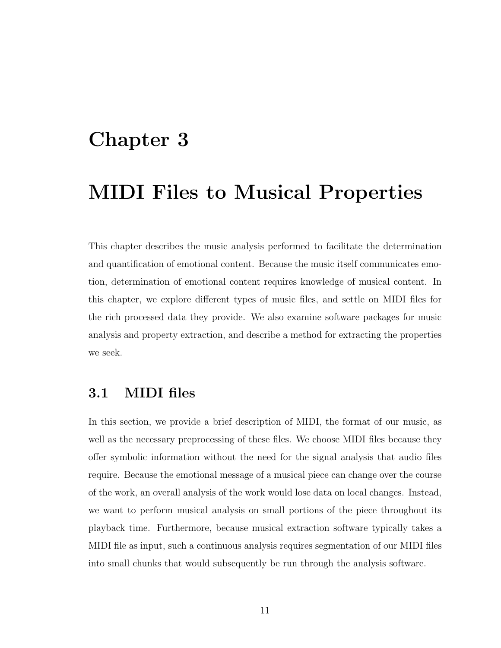# <span id="page-15-0"></span>Chapter 3

# MIDI Files to Musical Properties

This chapter describes the music analysis performed to facilitate the determination and quantification of emotional content. Because the music itself communicates emotion, determination of emotional content requires knowledge of musical content. In this chapter, we explore different types of music files, and settle on MIDI files for the rich processed data they provide. We also examine software packages for music analysis and property extraction, and describe a method for extracting the properties we seek.

### <span id="page-15-1"></span>3.1 MIDI files

In this section, we provide a brief description of MIDI, the format of our music, as well as the necessary preprocessing of these files. We choose MIDI files because they offer symbolic information without the need for the signal analysis that audio files require. Because the emotional message of a musical piece can change over the course of the work, an overall analysis of the work would lose data on local changes. Instead, we want to perform musical analysis on small portions of the piece throughout its playback time. Furthermore, because musical extraction software typically takes a MIDI file as input, such a continuous analysis requires segmentation of our MIDI files into small chunks that would subsequently be run through the analysis software.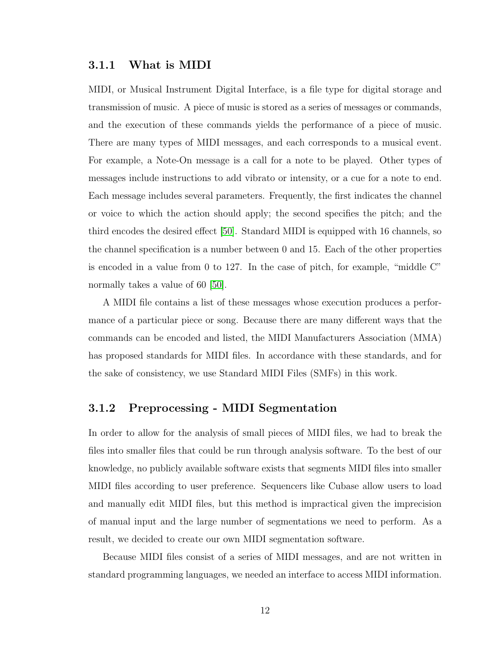#### <span id="page-16-0"></span>3.1.1 What is MIDI

MIDI, or Musical Instrument Digital Interface, is a file type for digital storage and transmission of music. A piece of music is stored as a series of messages or commands, and the execution of these commands yields the performance of a piece of music. There are many types of MIDI messages, and each corresponds to a musical event. For example, a Note-On message is a call for a note to be played. Other types of messages include instructions to add vibrato or intensity, or a cue for a note to end. Each message includes several parameters. Frequently, the first indicates the channel or voice to which the action should apply; the second specifies the pitch; and the third encodes the desired effect [\[50\]](#page-61-10). Standard MIDI is equipped with 16 channels, so the channel specification is a number between 0 and 15. Each of the other properties is encoded in a value from 0 to 127. In the case of pitch, for example, "middle C" normally takes a value of 60 [\[50\]](#page-61-10).

A MIDI file contains a list of these messages whose execution produces a performance of a particular piece or song. Because there are many different ways that the commands can be encoded and listed, the MIDI Manufacturers Association (MMA) has proposed standards for MIDI files. In accordance with these standards, and for the sake of consistency, we use Standard MIDI Files (SMFs) in this work.

#### <span id="page-16-1"></span>3.1.2 Preprocessing - MIDI Segmentation

In order to allow for the analysis of small pieces of MIDI files, we had to break the files into smaller files that could be run through analysis software. To the best of our knowledge, no publicly available software exists that segments MIDI files into smaller MIDI files according to user preference. Sequencers like Cubase allow users to load and manually edit MIDI files, but this method is impractical given the imprecision of manual input and the large number of segmentations we need to perform. As a result, we decided to create our own MIDI segmentation software.

Because MIDI files consist of a series of MIDI messages, and are not written in standard programming languages, we needed an interface to access MIDI information.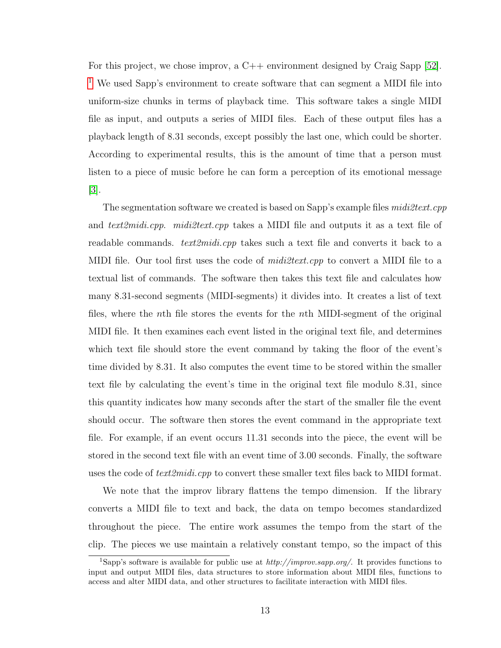For this project, we chose improv, a C++ environment designed by Craig Sapp [\[52\]](#page-61-11). <sup>[1](#page-17-0)</sup> We used Sapp's environment to create software that can segment a MIDI file into uniform-size chunks in terms of playback time. This software takes a single MIDI file as input, and outputs a series of MIDI files. Each of these output files has a playback length of 8*.*31 seconds, except possibly the last one, which could be shorter. According to experimental results, this is the amount of time that a person must listen to a piece of music before he can form a perception of its emotional message  $|3|$ .

The segmentation software we created is based on Sapp's example files *midi2text.cpp* and *text2midi.cpp*. *midi2text.cpp* takes a MIDI file and outputs it as a text file of readable commands. *text2midi.cpp* takes such a text file and converts it back to a MIDI file. Our tool first uses the code of *midi2text.cpp* to convert a MIDI file to a textual list of commands. The software then takes this text file and calculates how many 8*.*31-second segments (MIDI-segments) it divides into. It creates a list of text files, where the *n*th file stores the events for the *n*th MIDI-segment of the original MIDI file. It then examines each event listed in the original text file, and determines which text file should store the event command by taking the floor of the event's time divided by 8*.*31. It also computes the event time to be stored within the smaller text file by calculating the event's time in the original text file modulo 8*.*31, since this quantity indicates how many seconds after the start of the smaller file the event should occur. The software then stores the event command in the appropriate text file. For example, if an event occurs 11*.*31 seconds into the piece, the event will be stored in the second text file with an event time of 3*.*00 seconds. Finally, the software uses the code of *text2midi.cpp* to convert these smaller text files back to MIDI format.

We note that the improv library flattens the tempo dimension. If the library converts a MIDI file to text and back, the data on tempo becomes standardized throughout the piece. The entire work assumes the tempo from the start of the clip. The pieces we use maintain a relatively constant tempo, so the impact of this

<span id="page-17-0"></span><sup>1</sup>Sapp's software is available for public use at *http://improv.sapp.org/*. It provides functions to input and output MIDI files, data structures to store information about MIDI files, functions to access and alter MIDI data, and other structures to facilitate interaction with MIDI files.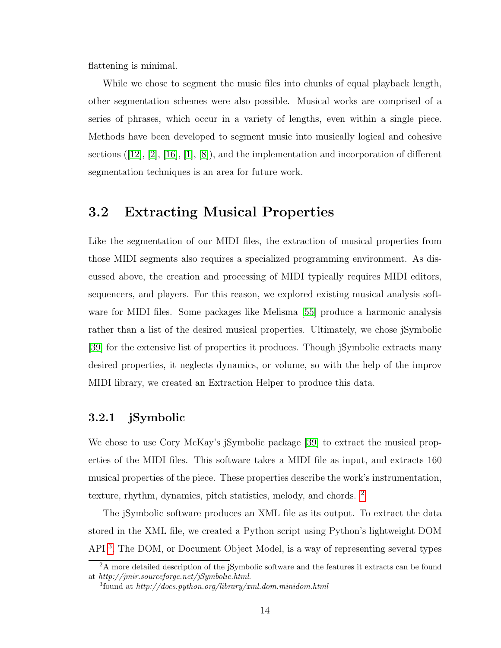flattening is minimal.

While we chose to segment the music files into chunks of equal playback length, other segmentation schemes were also possible. Musical works are comprised of a series of phrases, which occur in a variety of lengths, even within a single piece. Methods have been developed to segment music into musically logical and cohesive sections  $([12], [2], [16], [1], [8])$  $([12], [2], [16], [1], [8])$  $([12], [2], [16], [1], [8])$  $([12], [2], [16], [1], [8])$  $([12], [2], [16], [1], [8])$  $([12], [2], [16], [1], [8])$  $([12], [2], [16], [1], [8])$  $([12], [2], [16], [1], [8])$  $([12], [2], [16], [1], [8])$  $([12], [2], [16], [1], [8])$  $([12], [2], [16], [1], [8])$ , and the implementation and incorporation of different segmentation techniques is an area for future work.

### <span id="page-18-0"></span>3.2 Extracting Musical Properties

Like the segmentation of our MIDI files, the extraction of musical properties from those MIDI segments also requires a specialized programming environment. As discussed above, the creation and processing of MIDI typically requires MIDI editors, sequencers, and players. For this reason, we explored existing musical analysis software for MIDI files. Some packages like Melisma [\[55\]](#page-62-0) produce a harmonic analysis rather than a list of the desired musical properties. Ultimately, we chose jSymbolic [\[39\]](#page-60-0) for the extensive list of properties it produces. Though jSymbolic extracts many desired properties, it neglects dynamics, or volume, so with the help of the improv MIDI library, we created an Extraction Helper to produce this data.

#### <span id="page-18-1"></span>3.2.1 jSymbolic

We chose to use Cory McKay's jSymbolic package [\[39\]](#page-60-0) to extract the musical properties of the MIDI files. This software takes a MIDI file as input, and extracts 160 musical properties of the piece. These properties describe the work's instrumentation, texture, rhythm, dynamics, pitch statistics, melody, and chords. [2](#page-18-2)

The jSymbolic software produces an XML file as its output. To extract the data stored in the XML file, we created a Python script using Python's lightweight DOM API [3](#page-18-3). The DOM, or Document Object Model, is a way of representing several types

<span id="page-18-2"></span><sup>&</sup>lt;sup>2</sup>A more detailed description of the jSymbolic software and the features it extracts can be found at *http://jmir.sourceforge.net/jSymbolic.html*.

<span id="page-18-3"></span><sup>3</sup>found at *http://docs.python.org/library/xml.dom.minidom.html*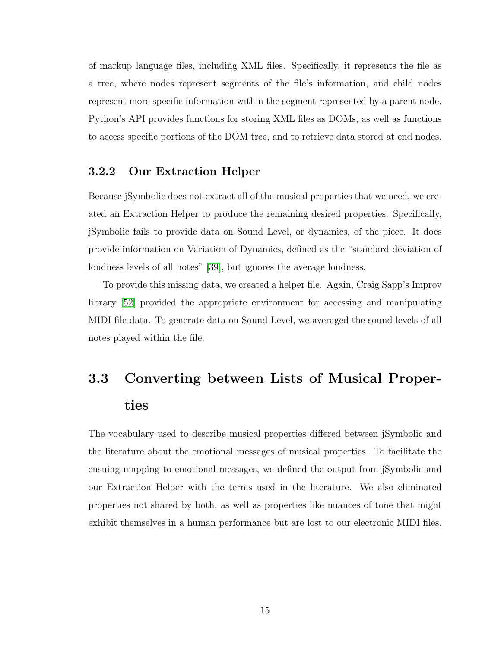of markup language files, including XML files. Specifically, it represents the file as a tree, where nodes represent segments of the file's information, and child nodes represent more specific information within the segment represented by a parent node. Python's API provides functions for storing XML files as DOMs, as well as functions to access specific portions of the DOM tree, and to retrieve data stored at end nodes.

#### <span id="page-19-0"></span>3.2.2 Our Extraction Helper

Because jSymbolic does not extract all of the musical properties that we need, we created an Extraction Helper to produce the remaining desired properties. Specifically, jSymbolic fails to provide data on Sound Level, or dynamics, of the piece. It does provide information on Variation of Dynamics, defined as the "standard deviation of loudness levels of all notes" [\[39\]](#page-60-0), but ignores the average loudness.

To provide this missing data, we created a helper file. Again, Craig Sapp's Improv library [\[52\]](#page-61-11) provided the appropriate environment for accessing and manipulating MIDI file data. To generate data on Sound Level, we averaged the sound levels of all notes played within the file.

# <span id="page-19-1"></span>3.3 Converting between Lists of Musical Properties

The vocabulary used to describe musical properties differed between jSymbolic and the literature about the emotional messages of musical properties. To facilitate the ensuing mapping to emotional messages, we defined the output from jSymbolic and our Extraction Helper with the terms used in the literature. We also eliminated properties not shared by both, as well as properties like nuances of tone that might exhibit themselves in a human performance but are lost to our electronic MIDI files.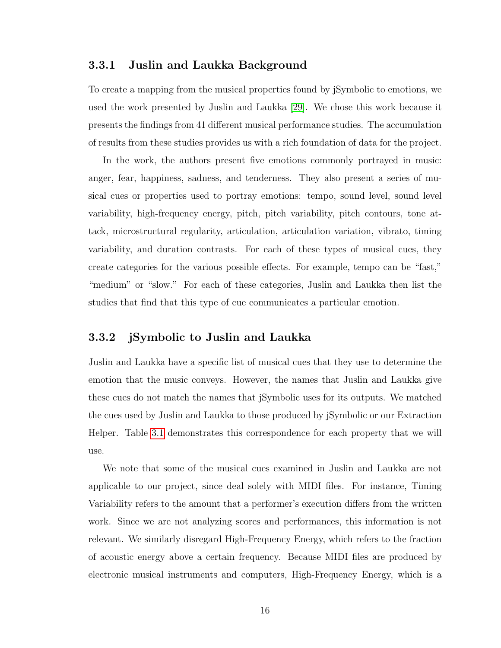#### <span id="page-20-0"></span>3.3.1 Juslin and Laukka Background

To create a mapping from the musical properties found by jSymbolic to emotions, we used the work presented by Juslin and Laukka [\[29\]](#page-60-11). We chose this work because it presents the findings from 41 different musical performance studies. The accumulation of results from these studies provides us with a rich foundation of data for the project.

In the work, the authors present five emotions commonly portrayed in music: anger, fear, happiness, sadness, and tenderness. They also present a series of musical cues or properties used to portray emotions: tempo, sound level, sound level variability, high-frequency energy, pitch, pitch variability, pitch contours, tone attack, microstructural regularity, articulation, articulation variation, vibrato, timing variability, and duration contrasts. For each of these types of musical cues, they create categories for the various possible effects. For example, tempo can be "fast," "medium" or "slow." For each of these categories, Juslin and Laukka then list the studies that find that this type of cue communicates a particular emotion.

#### <span id="page-20-1"></span>3.3.2 jSymbolic to Juslin and Laukka

Juslin and Laukka have a specific list of musical cues that they use to determine the emotion that the music conveys. However, the names that Juslin and Laukka give these cues do not match the names that jSymbolic uses for its outputs. We matched the cues used by Juslin and Laukka to those produced by jSymbolic or our Extraction Helper. Table [3.1](#page-21-0) demonstrates this correspondence for each property that we will use.

We note that some of the musical cues examined in Juslin and Laukka are not applicable to our project, since deal solely with MIDI files. For instance, Timing Variability refers to the amount that a performer's execution differs from the written work. Since we are not analyzing scores and performances, this information is not relevant. We similarly disregard High-Frequency Energy, which refers to the fraction of acoustic energy above a certain frequency. Because MIDI files are produced by electronic musical instruments and computers, High-Frequency Energy, which is a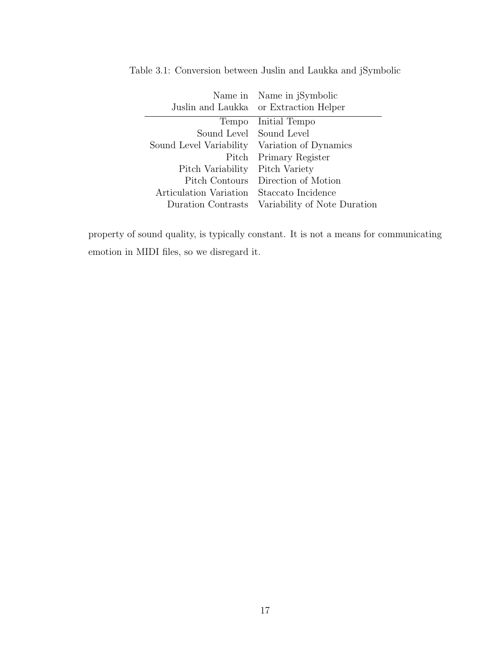<span id="page-21-0"></span>

|                         | Name in Name in jSymbolic<br>Juslin and Laukka or Extraction Helper |
|-------------------------|---------------------------------------------------------------------|
| Tempo                   | Initial Tempo                                                       |
| Sound Level Sound Level |                                                                     |
| Sound Level Variability | Variation of Dynamics                                               |
| Pitch                   | Primary Register                                                    |
| Pitch Variability       | Pitch Variety                                                       |
| Pitch Contours          | Direction of Motion                                                 |
| Articulation Variation  | Staccato Incidence                                                  |
| Duration Contrasts      | Variability of Note Duration                                        |

Table 3.1: Conversion between Juslin and Laukka and jSymbolic

property of sound quality, is typically constant. It is not a means for communicating emotion in MIDI files, so we disregard it.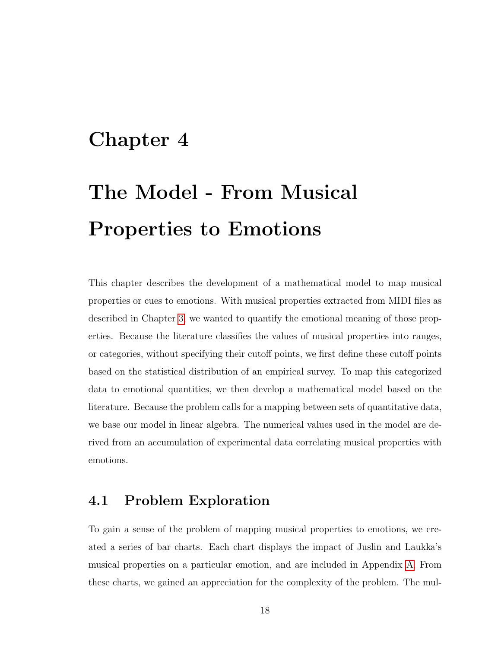# <span id="page-22-0"></span>Chapter 4

# The Model - From Musical Properties to Emotions

This chapter describes the development of a mathematical model to map musical properties or cues to emotions. With musical properties extracted from MIDI files as described in Chapter [3,](#page-15-0) we wanted to quantify the emotional meaning of those properties. Because the literature classifies the values of musical properties into ranges, or categories, without specifying their cutoff points, we first define these cutoff points based on the statistical distribution of an empirical survey. To map this categorized data to emotional quantities, we then develop a mathematical model based on the literature. Because the problem calls for a mapping between sets of quantitative data, we base our model in linear algebra. The numerical values used in the model are derived from an accumulation of experimental data correlating musical properties with emotions.

## <span id="page-22-1"></span>4.1 Problem Exploration

To gain a sense of the problem of mapping musical properties to emotions, we created a series of bar charts. Each chart displays the impact of Juslin and Laukka's musical properties on a particular emotion, and are included in Appendix [A.](#page-63-0) From these charts, we gained an appreciation for the complexity of the problem. The mul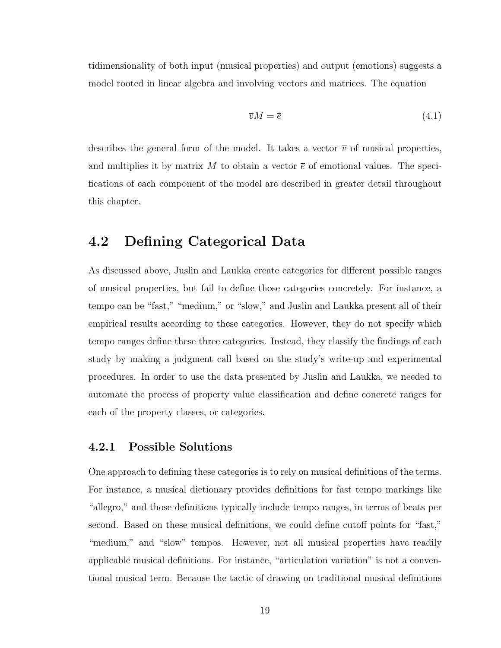tidimensionality of both input (musical properties) and output (emotions) suggests a model rooted in linear algebra and involving vectors and matrices. The equation

<span id="page-23-2"></span>
$$
\overline{v}M = \overline{e} \tag{4.1}
$$

describes the general form of the model. It takes a vector  $\bar{v}$  of musical properties, and multiplies it by matrix M to obtain a vector  $\bar{e}$  of emotional values. The specifications of each component of the model are described in greater detail throughout this chapter.

### <span id="page-23-0"></span>4.2 Defining Categorical Data

As discussed above, Juslin and Laukka create categories for different possible ranges of musical properties, but fail to define those categories concretely. For instance, a tempo can be "fast," "medium," or "slow," and Juslin and Laukka present all of their empirical results according to these categories. However, they do not specify which tempo ranges define these three categories. Instead, they classify the findings of each study by making a judgment call based on the study's write-up and experimental procedures. In order to use the data presented by Juslin and Laukka, we needed to automate the process of property value classification and define concrete ranges for each of the property classes, or categories.

#### <span id="page-23-1"></span>4.2.1 Possible Solutions

One approach to defining these categories is to rely on musical definitions of the terms. For instance, a musical dictionary provides definitions for fast tempo markings like "allegro," and those definitions typically include tempo ranges, in terms of beats per second. Based on these musical definitions, we could define cutoff points for "fast," "medium," and "slow" tempos. However, not all musical properties have readily applicable musical definitions. For instance, "articulation variation" is not a conventional musical term. Because the tactic of drawing on traditional musical definitions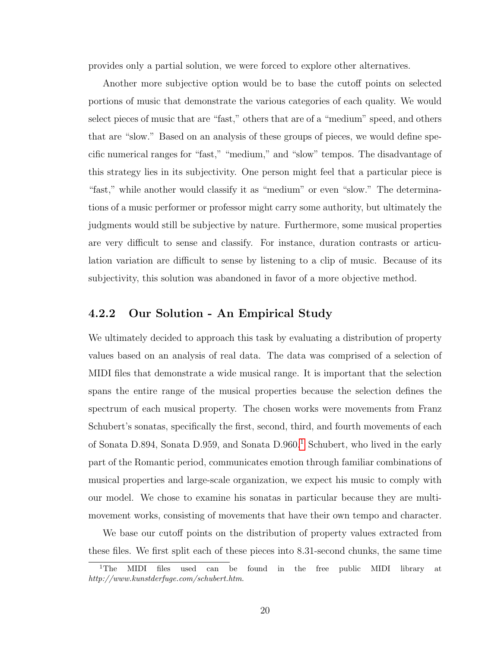provides only a partial solution, we were forced to explore other alternatives.

Another more subjective option would be to base the cutoff points on selected portions of music that demonstrate the various categories of each quality. We would select pieces of music that are "fast," others that are of a "medium" speed, and others that are "slow." Based on an analysis of these groups of pieces, we would define specific numerical ranges for "fast," "medium," and "slow" tempos. The disadvantage of this strategy lies in its subjectivity. One person might feel that a particular piece is "fast," while another would classify it as "medium" or even "slow." The determinations of a music performer or professor might carry some authority, but ultimately the judgments would still be subjective by nature. Furthermore, some musical properties are very difficult to sense and classify. For instance, duration contrasts or articulation variation are difficult to sense by listening to a clip of music. Because of its subjectivity, this solution was abandoned in favor of a more objective method.

#### <span id="page-24-0"></span>4.2.2 Our Solution - An Empirical Study

We ultimately decided to approach this task by evaluating a distribution of property values based on an analysis of real data. The data was comprised of a selection of MIDI files that demonstrate a wide musical range. It is important that the selection spans the entire range of the musical properties because the selection defines the spectrum of each musical property. The chosen works were movements from Franz Schubert's sonatas, specifically the first, second, third, and fourth movements of each of Sonata D.894, Sonata D.959, and Sonata D.960.<sup>[1](#page-24-1)</sup> Schubert, who lived in the early part of the Romantic period, communicates emotion through familiar combinations of musical properties and large-scale organization, we expect his music to comply with our model. We chose to examine his sonatas in particular because they are multimovement works, consisting of movements that have their own tempo and character.

We base our cutoff points on the distribution of property values extracted from these files. We first split each of these pieces into 8*.*31-second chunks, the same time

<span id="page-24-1"></span><sup>&</sup>lt;sup>1</sup>The MIDI files used can be found in the free public MIDI library at *http://www.kunstderfuge.com/schubert.htm*.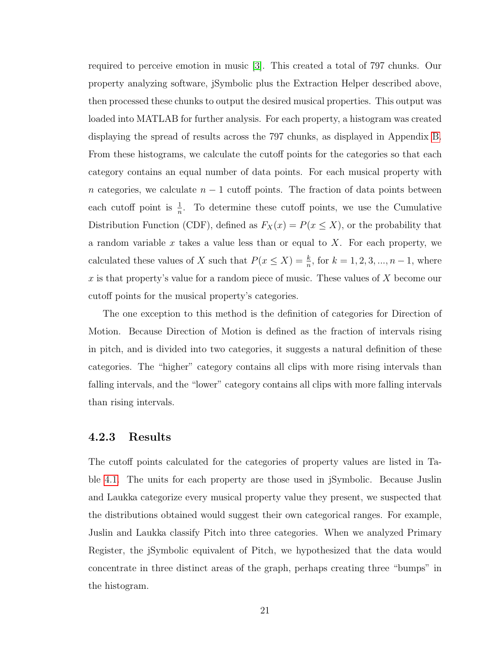required to perceive emotion in music [\[3\]](#page-58-3). This created a total of 797 chunks. Our property analyzing software, jSymbolic plus the Extraction Helper described above, then processed these chunks to output the desired musical properties. This output was loaded into MATLAB for further analysis. For each property, a histogram was created displaying the spread of results across the 797 chunks, as displayed in Appendix [B.](#page-67-0) From these histograms, we calculate the cutoff points for the categories so that each category contains an equal number of data points. For each musical property with *n* categories, we calculate *n* − 1 cutoff points. The fraction of data points between each cutoff point is  $\frac{1}{n}$ . To determine these cutoff points, we use the Cumulative Distribution Function (CDF), defined as  $F_X(x) = P(x \le X)$ , or the probability that a random variable *x* takes a value less than or equal to *X*. For each property, we calculated these values of *X* such that  $P(x \le X) = \frac{k}{n}$ , for  $k = 1, 2, 3, ..., n - 1$ , where *x* is that property's value for a random piece of music. These values of *X* become our cutoff points for the musical property's categories.

The one exception to this method is the definition of categories for Direction of Motion. Because Direction of Motion is defined as the fraction of intervals rising in pitch, and is divided into two categories, it suggests a natural definition of these categories. The "higher" category contains all clips with more rising intervals than falling intervals, and the "lower" category contains all clips with more falling intervals than rising intervals.

#### <span id="page-25-0"></span>4.2.3 Results

The cutoff points calculated for the categories of property values are listed in Table [4.1.](#page-26-0) The units for each property are those used in jSymbolic. Because Juslin and Laukka categorize every musical property value they present, we suspected that the distributions obtained would suggest their own categorical ranges. For example, Juslin and Laukka classify Pitch into three categories. When we analyzed Primary Register, the jSymbolic equivalent of Pitch, we hypothesized that the data would concentrate in three distinct areas of the graph, perhaps creating three "bumps" in the histogram.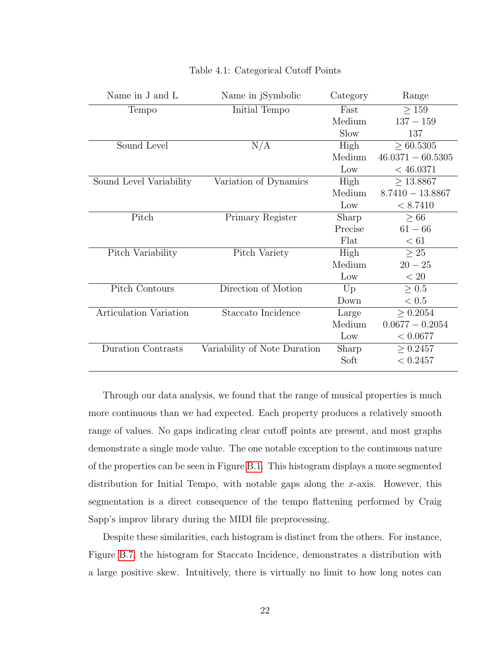| Name in J and L           | Name in jSymbolic            | Category | Range               |
|---------------------------|------------------------------|----------|---------------------|
| Tempo                     | Initial Tempo                | Fast     | $\geq 159$          |
|                           |                              | Medium   | $137 - 159$         |
|                           |                              | Slow     | 137                 |
| Sound Level               | N/A                          | High     | > 60.5305           |
|                           |                              | Medium   | $46.0371 - 60.5305$ |
|                           |                              | Low      | $<$ 46.0371         |
| Sound Level Variability   | Variation of Dynamics        | High     | $\geq 13.8867$      |
|                           |                              | Medium   | $8.7410 - 13.8867$  |
|                           |                              | Low      | $<\t8.7410$         |
| Pitch                     | Primary Register             | Sharp    | >66                 |
|                           |                              | Precise  | $61 - 66$           |
|                           |                              | Flat     | < 61                |
| Pitch Variability         | Pitch Variety                | High     | > 25                |
|                           |                              | Medium   | $20 - 25$           |
|                           |                              | Low      | < 20                |
| <b>Pitch Contours</b>     | Direction of Motion          | Up       | $\geq 0.5$          |
|                           |                              | Down     | < 0.5               |
| Articulation Variation    | Staccato Incidence           | Large    | > 0.2054            |
|                           |                              | Medium   | $0.0677 - 0.2054$   |
|                           |                              | Low      | < 0.0677            |
| <b>Duration Contrasts</b> | Variability of Note Duration | Sharp    | $\geq 0.2457$       |
|                           |                              | Soft     | < 0.2457            |
|                           |                              |          |                     |

#### <span id="page-26-0"></span>Table 4.1: Categorical Cutoff Points

Through our data analysis, we found that the range of musical properties is much more continuous than we had expected. Each property produces a relatively smooth range of values. No gaps indicating clear cutoff points are present, and most graphs demonstrate a single mode value. The one notable exception to the continuous nature of the properties can be seen in Figure [B.1.](#page-67-1) This histogram displays a more segmented distribution for Initial Tempo, with notable gaps along the *x*-axis. However, this segmentation is a direct consequence of the tempo flattening performed by Craig Sapp's improv library during the MIDI file preprocessing.

Despite these similarities, each histogram is distinct from the others. For instance, Figure [B.7,](#page-71-0) the histogram for Staccato Incidence, demonstrates a distribution with a large positive skew. Intuitively, there is virtually no limit to how long notes can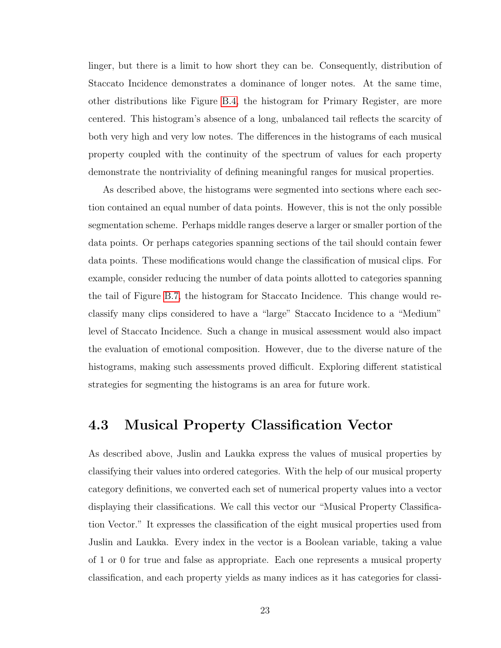linger, but there is a limit to how short they can be. Consequently, distribution of Staccato Incidence demonstrates a dominance of longer notes. At the same time, other distributions like Figure [B.4,](#page-69-0) the histogram for Primary Register, are more centered. This histogram's absence of a long, unbalanced tail reflects the scarcity of both very high and very low notes. The differences in the histograms of each musical property coupled with the continuity of the spectrum of values for each property demonstrate the nontriviality of defining meaningful ranges for musical properties.

As described above, the histograms were segmented into sections where each section contained an equal number of data points. However, this is not the only possible segmentation scheme. Perhaps middle ranges deserve a larger or smaller portion of the data points. Or perhaps categories spanning sections of the tail should contain fewer data points. These modifications would change the classification of musical clips. For example, consider reducing the number of data points allotted to categories spanning the tail of Figure [B.7,](#page-71-0) the histogram for Staccato Incidence. This change would reclassify many clips considered to have a "large" Staccato Incidence to a "Medium" level of Staccato Incidence. Such a change in musical assessment would also impact the evaluation of emotional composition. However, due to the diverse nature of the histograms, making such assessments proved difficult. Exploring different statistical strategies for segmenting the histograms is an area for future work.

### <span id="page-27-0"></span>4.3 Musical Property Classification Vector

As described above, Juslin and Laukka express the values of musical properties by classifying their values into ordered categories. With the help of our musical property category definitions, we converted each set of numerical property values into a vector displaying their classifications. We call this vector our "Musical Property Classification Vector." It expresses the classification of the eight musical properties used from Juslin and Laukka. Every index in the vector is a Boolean variable, taking a value of 1 or 0 for true and false as appropriate. Each one represents a musical property classification, and each property yields as many indices as it has categories for classi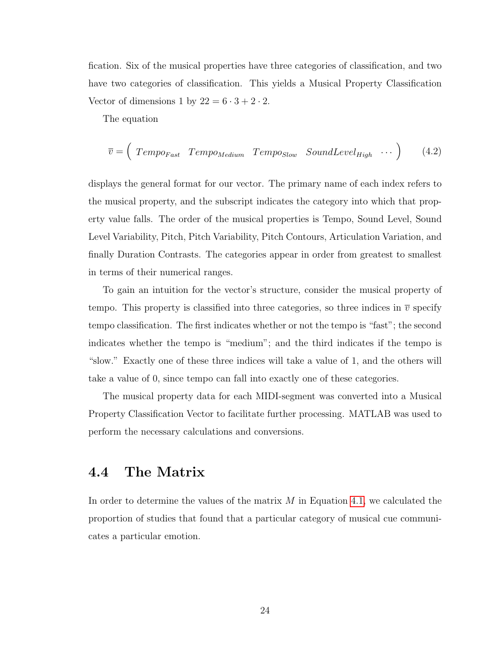fication. Six of the musical properties have three categories of classification, and two have two categories of classification. This yields a Musical Property Classification Vector of dimensions 1 by  $22 = 6 \cdot 3 + 2 \cdot 2$ .

The equation

$$
\overline{v} = \left(\text{Tempo}_{Fast} \text{Tempo}_{Median} \text{Tempo}_{Slow} \text{SoundLevel}_{High} \cdots \right) \qquad (4.2)
$$

displays the general format for our vector. The primary name of each index refers to the musical property, and the subscript indicates the category into which that property value falls. The order of the musical properties is Tempo, Sound Level, Sound Level Variability, Pitch, Pitch Variability, Pitch Contours, Articulation Variation, and finally Duration Contrasts. The categories appear in order from greatest to smallest in terms of their numerical ranges.

To gain an intuition for the vector's structure, consider the musical property of tempo. This property is classified into three categories, so three indices in  $\bar{v}$  specify tempo classification. The first indicates whether or not the tempo is "fast"; the second indicates whether the tempo is "medium"; and the third indicates if the tempo is "slow." Exactly one of these three indices will take a value of 1, and the others will take a value of 0, since tempo can fall into exactly one of these categories.

The musical property data for each MIDI-segment was converted into a Musical Property Classification Vector to facilitate further processing. MATLAB was used to perform the necessary calculations and conversions.

### <span id="page-28-0"></span>4.4 The Matrix

In order to determine the values of the matrix *M* in Equation [4.1,](#page-23-2) we calculated the proportion of studies that found that a particular category of musical cue communicates a particular emotion.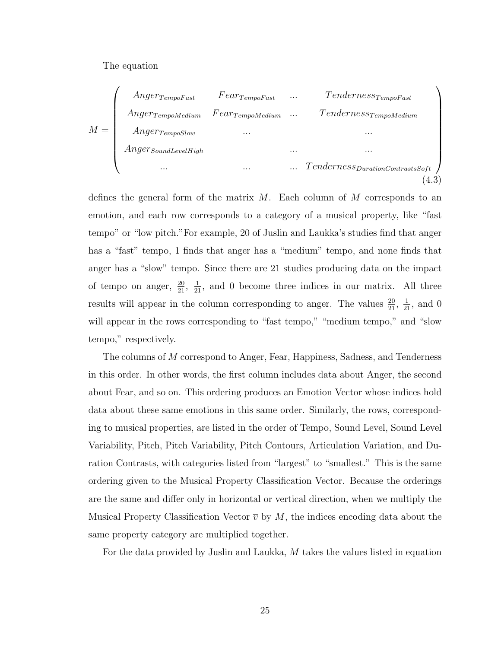The equation



defines the general form of the matrix *M*. Each column of *M* corresponds to an emotion, and each row corresponds to a category of a musical property, like "fast tempo" or "low pitch."For example, 20 of Juslin and Laukka's studies find that anger has a "fast" tempo, 1 finds that anger has a "medium" tempo, and none finds that anger has a "slow" tempo. Since there are 21 studies producing data on the impact of tempo on anger,  $\frac{20}{21}$ ,  $\frac{1}{21}$ , and 0 become three indices in our matrix. All three results will appear in the column corresponding to anger. The values  $\frac{20}{21}$ ,  $\frac{1}{21}$ , and 0 will appear in the rows corresponding to "fast tempo," "medium tempo," and "slow tempo," respectively.

The columns of *M* correspond to Anger, Fear, Happiness, Sadness, and Tenderness in this order. In other words, the first column includes data about Anger, the second about Fear, and so on. This ordering produces an Emotion Vector whose indices hold data about these same emotions in this same order. Similarly, the rows, corresponding to musical properties, are listed in the order of Tempo, Sound Level, Sound Level Variability, Pitch, Pitch Variability, Pitch Contours, Articulation Variation, and Duration Contrasts, with categories listed from "largest" to "smallest." This is the same ordering given to the Musical Property Classification Vector. Because the orderings are the same and differ only in horizontal or vertical direction, when we multiply the Musical Property Classification Vector  $\bar{v}$  by M, the indices encoding data about the same property category are multiplied together.

For the data provided by Juslin and Laukka, *M* takes the values listed in equation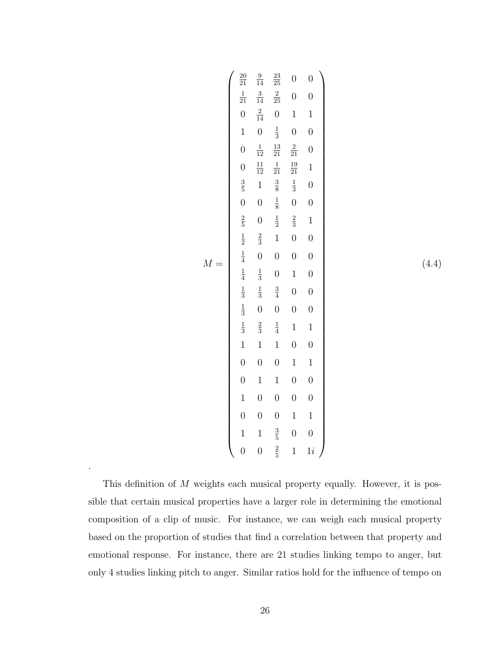|       | $\frac{20}{21}$  | $\frac{9}{14}$   | $\frac{23}{25}$  | $\overline{0}$   | $\overline{0}$   |
|-------|------------------|------------------|------------------|------------------|------------------|
|       |                  |                  |                  |                  |                  |
|       | $\frac{1}{21}$   | $\frac{3}{14}$   | $\frac{2}{25}$   | $\boldsymbol{0}$ | $\overline{0}$   |
|       | $\boldsymbol{0}$ | $\frac{2}{14}$   | $\boldsymbol{0}$ | $\mathbf{1}$     | $\mathbf 1$      |
|       | $\mathbf{1}$     | $\overline{0}$   | $\frac{1}{3}$    | $\overline{0}$   | $\overline{0}$   |
|       | $\overline{0}$   | $\frac{1}{12}$   | $\frac{13}{21}$  | $\frac{2}{21}$   | $\overline{0}$   |
|       | $\overline{0}$   | $\frac{11}{12}$  | $\frac{1}{21}$   | $\frac{19}{21}$  | $\mathbf{1}$     |
|       | $\frac{3}{5}$    | $\mathbf{1}$     | $\frac{3}{8}$    | $\frac{1}{3}$    | $\overline{0}$   |
|       | $\overline{0}$   | $\boldsymbol{0}$ | $\frac{1}{8}$    | $\overline{0}$   | $\overline{0}$   |
|       | $\frac{2}{5}$    | $\boldsymbol{0}$ | $\frac{1}{2}$    | $\frac{2}{3}$    | $\mathbf{1}$     |
|       | $\frac{1}{2}$    | $\frac{2}{3}$    | $\mathbf{1}$     | $\boldsymbol{0}$ | $\overline{0}$   |
| $M =$ | $\frac{1}{4}$    | $\boldsymbol{0}$ | $\overline{0}$   | $\overline{0}$   | $\overline{0}$   |
|       | $\frac{1}{4}$    | $\frac{1}{3}$    | $\overline{0}$   | $\mathbf 1$      | $\overline{0}$   |
|       | $\frac{1}{3}$    | $\frac{1}{3}$    | $\frac{3}{4}$    | $\boldsymbol{0}$ | $\overline{0}$   |
|       | $\frac{1}{3}$    | $\overline{0}$   | $\overline{0}$   | $\boldsymbol{0}$ | $\boldsymbol{0}$ |
|       | $\frac{1}{3}$    | $\frac{2}{3}$    | $\frac{1}{4}$    | $\mathbf{1}$     | $\mathbf{1}$     |
|       | $\mathbf{1}$     | $\mathbf{1}$     | $\mathbf{1}$     | $\overline{0}$   | $\overline{0}$   |
|       | $\overline{0}$   | $\overline{0}$   | $\overline{0}$   | $\mathbf 1$      | $\mathbf{1}$     |
|       | $\overline{0}$   | $\mathbf 1$      | $\mathbf{1}$     | $\overline{0}$   | $\boldsymbol{0}$ |
|       | $\mathbf{1}$     | $\boldsymbol{0}$ | $\overline{0}$   | $\overline{0}$   | $\overline{0}$   |
|       | $\overline{0}$   | $\overline{0}$   | $\overline{0}$   | $\mathbf 1$      | $\,1$            |
|       | $\mathbf{1}$     | $\mathbf{1}$     | $\frac{3}{5}$    | $\overline{0}$   | $\overline{0}$   |
|       | $\overline{0}$   | $\overline{0}$   | $\frac{2}{5}$    | $\mathbf{1}$     | $1\dot{i}$       |

(4.4)

This definition of *M* weights each musical property equally. However, it is possible that certain musical properties have a larger role in determining the emotional composition of a clip of music. For instance, we can weigh each musical property based on the proportion of studies that find a correlation between that property and emotional response. For instance, there are 21 studies linking tempo to anger, but only 4 studies linking pitch to anger. Similar ratios hold for the influence of tempo on

.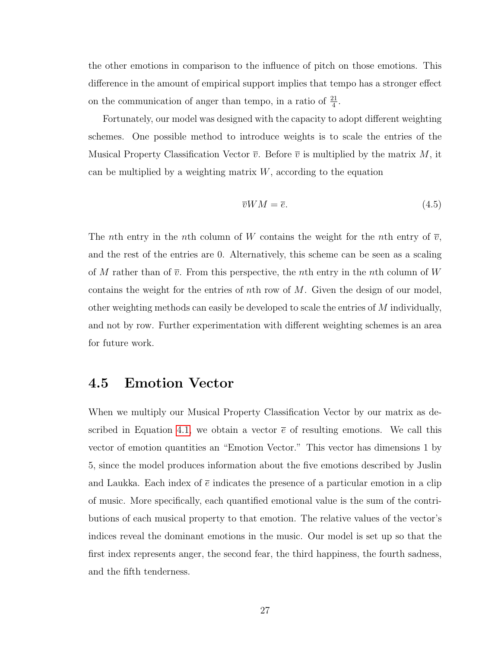the other emotions in comparison to the influence of pitch on those emotions. This difference in the amount of empirical support implies that tempo has a stronger effect on the communication of anger than tempo, in a ratio of  $\frac{21}{4}$ .

Fortunately, our model was designed with the capacity to adopt different weighting schemes. One possible method to introduce weights is to scale the entries of the Musical Property Classification Vector  $\overline{v}$ . Before  $\overline{v}$  is multiplied by the matrix M, it can be multiplied by a weighting matrix *W*, according to the equation

$$
\overline{v}WM = \overline{e}.\tag{4.5}
$$

The *n*th entry in the *n*th column of *W* contains the weight for the *n*th entry of  $\overline{v}$ , and the rest of the entries are 0. Alternatively, this scheme can be seen as a scaling of *M* rather than of  $\overline{v}$ . From this perspective, the *n*th entry in the *n*th column of *W* contains the weight for the entries of *n*th row of *M*. Given the design of our model, other weighting methods can easily be developed to scale the entries of *M* individually, and not by row. Further experimentation with different weighting schemes is an area for future work.

### <span id="page-31-0"></span>4.5 Emotion Vector

When we multiply our Musical Property Classification Vector by our matrix as de-scribed in Equation [4.1,](#page-23-2) we obtain a vector  $\bar{e}$  of resulting emotions. We call this vector of emotion quantities an "Emotion Vector." This vector has dimensions 1 by 5, since the model produces information about the five emotions described by Juslin and Laukka. Each index of  $\bar{e}$  indicates the presence of a particular emotion in a clip of music. More specifically, each quantified emotional value is the sum of the contributions of each musical property to that emotion. The relative values of the vector's indices reveal the dominant emotions in the music. Our model is set up so that the first index represents anger, the second fear, the third happiness, the fourth sadness, and the fifth tenderness.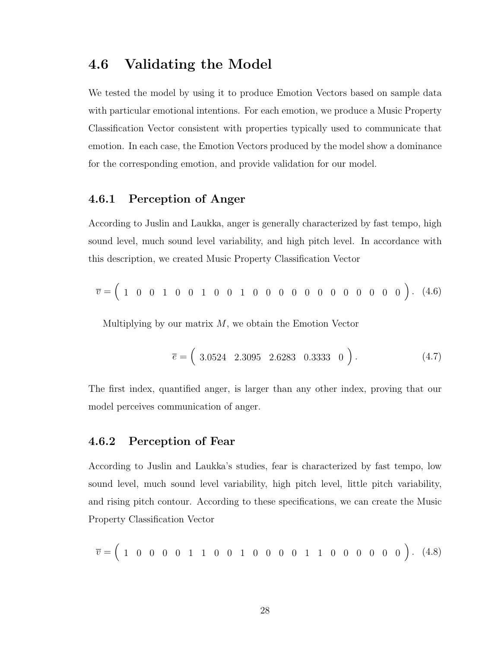### <span id="page-32-0"></span>4.6 Validating the Model

We tested the model by using it to produce Emotion Vectors based on sample data with particular emotional intentions. For each emotion, we produce a Music Property Classification Vector consistent with properties typically used to communicate that emotion. In each case, the Emotion Vectors produced by the model show a dominance for the corresponding emotion, and provide validation for our model.

#### <span id="page-32-1"></span>4.6.1 Perception of Anger

According to Juslin and Laukka, anger is generally characterized by fast tempo, high sound level, much sound level variability, and high pitch level. In accordance with this description, we created Music Property Classification Vector

*v* = ! <sup>1001001001000000000000</sup> " *.* (4.6)

Multiplying by our matrix *M*, we obtain the Emotion Vector

$$
\overline{e} = \left(3.0524 \quad 2.3095 \quad 2.6283 \quad 0.3333 \quad 0\right). \tag{4.7}
$$

The first index, quantified anger, is larger than any other index, proving that our model perceives communication of anger.

#### <span id="page-32-2"></span>4.6.2 Perception of Fear

According to Juslin and Laukka's studies, fear is characterized by fast tempo, low sound level, much sound level variability, high pitch level, little pitch variability, and rising pitch contour. According to these specifications, we can create the Music Property Classification Vector

$$
\overline{v} = \left(1 \quad 0 \quad 0 \quad 0 \quad 0 \quad 1 \quad 1 \quad 0 \quad 0 \quad 1 \quad 0 \quad 0 \quad 0 \quad 0 \quad 1 \quad 1 \quad 0 \quad 0 \quad 0 \quad 0 \quad 0 \quad 0 \right). \tag{4.8}
$$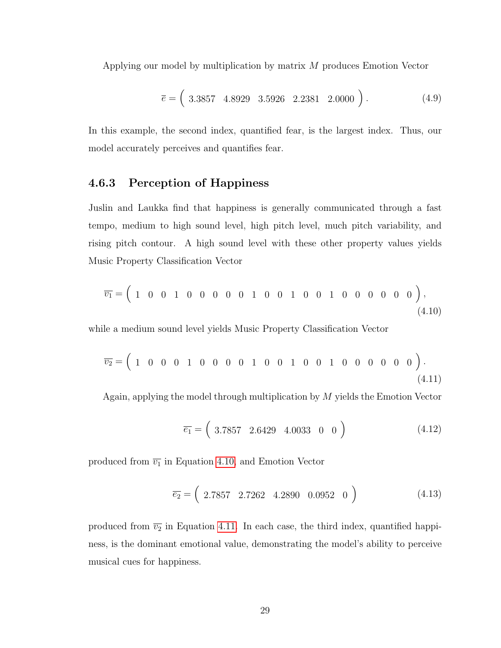Applying our model by multiplication by matrix *M* produces Emotion Vector

$$
\overline{e} = \left(3.3857 \quad 4.8929 \quad 3.5926 \quad 2.2381 \quad 2.0000 \right). \tag{4.9}
$$

In this example, the second index, quantified fear, is the largest index. Thus, our model accurately perceives and quantifies fear.

#### <span id="page-33-0"></span>4.6.3 Perception of Happiness

Juslin and Laukka find that happiness is generally communicated through a fast tempo, medium to high sound level, high pitch level, much pitch variability, and rising pitch contour. A high sound level with these other property values yields Music Property Classification Vector

<span id="page-33-1"></span>
$$
\overline{v_1} = \begin{pmatrix} 1 & 0 & 0 & 1 & 0 & 0 & 0 & 0 & 1 & 0 & 0 & 1 & 0 & 0 & 1 & 0 & 0 & 0 & 0 & 0 & 0 \end{pmatrix},\tag{4.10}
$$

while a medium sound level yields Music Property Classification Vector

<span id="page-33-2"></span>
$$
\overline{v_2} = \begin{pmatrix} 1 & 0 & 0 & 0 & 1 & 0 & 0 & 0 & 1 & 0 & 0 & 1 & 0 & 0 & 1 & 0 & 0 & 0 & 0 & 0 & 0 \end{pmatrix}.
$$
\n(4.11)

Again, applying the model through multiplication by *M* yields the Emotion Vector

$$
\overline{e_1} = \left( \begin{array}{cccc} 3.7857 & 2.6429 & 4.0033 & 0 & 0 \end{array} \right) \tag{4.12}
$$

produced from  $\overline{v_1}$  in Equation [4.10,](#page-33-1) and Emotion Vector

$$
\overline{e_2} = \left( \begin{array}{cccc} 2.7857 & 2.7262 & 4.2890 & 0.0952 & 0 \end{array} \right) \tag{4.13}
$$

produced from  $\overline{v_2}$  in Equation [4.11.](#page-33-2) In each case, the third index, quantified happiness, is the dominant emotional value, demonstrating the model's ability to perceive musical cues for happiness.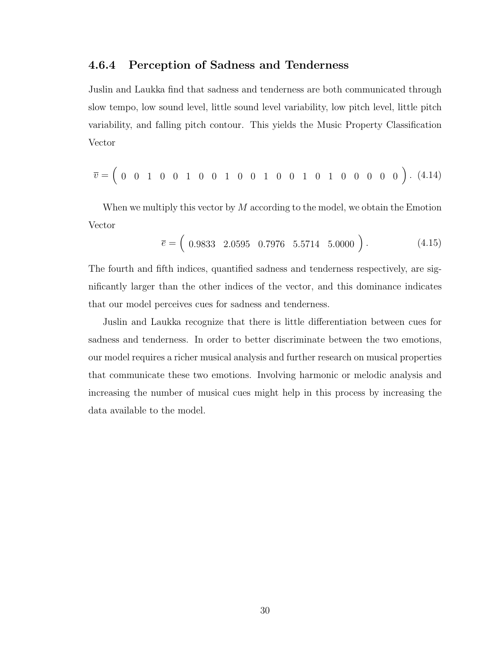#### <span id="page-34-0"></span>4.6.4 Perception of Sadness and Tenderness

Juslin and Laukka find that sadness and tenderness are both communicated through slow tempo, low sound level, little sound level variability, low pitch level, little pitch variability, and falling pitch contour. This yields the Music Property Classification Vector

$$
\overline{v} = \left( \begin{array}{cccccccccccc} 0 & 0 & 1 & 0 & 0 & 1 & 0 & 0 & 1 & 0 & 0 & 1 & 0 & 0 & 1 & 0 & 1 & 0 & 0 & 0 & 0 & 0 \end{array} \right) . \tag{4.14}
$$

When we multiply this vector by *M* according to the model, we obtain the Emotion Vector

$$
\overline{e} = \left( \begin{array}{cccc} 0.9833 & 2.0595 & 0.7976 & 5.5714 & 5.0000 \end{array} \right). \tag{4.15}
$$

The fourth and fifth indices, quantified sadness and tenderness respectively, are significantly larger than the other indices of the vector, and this dominance indicates that our model perceives cues for sadness and tenderness.

Juslin and Laukka recognize that there is little differentiation between cues for sadness and tenderness. In order to better discriminate between the two emotions, our model requires a richer musical analysis and further research on musical properties that communicate these two emotions. Involving harmonic or melodic analysis and increasing the number of musical cues might help in this process by increasing the data available to the model.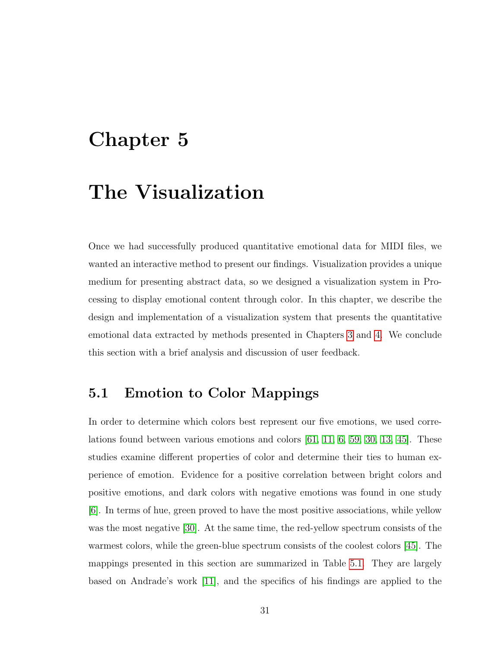# <span id="page-35-0"></span>Chapter 5

# The Visualization

Once we had successfully produced quantitative emotional data for MIDI files, we wanted an interactive method to present our findings. Visualization provides a unique medium for presenting abstract data, so we designed a visualization system in Processing to display emotional content through color. In this chapter, we describe the design and implementation of a visualization system that presents the quantitative emotional data extracted by methods presented in Chapters [3](#page-15-0) and [4.](#page-22-0) We conclude this section with a brief analysis and discussion of user feedback.

### <span id="page-35-1"></span>5.1 Emotion to Color Mappings

In order to determine which colors best represent our five emotions, we used correlations found between various emotions and colors [\[61,](#page-62-12) [11,](#page-58-10) [6,](#page-58-11) [59,](#page-62-13) [30,](#page-60-13) [13,](#page-59-13) [45\]](#page-61-12). These studies examine different properties of color and determine their ties to human experience of emotion. Evidence for a positive correlation between bright colors and positive emotions, and dark colors with negative emotions was found in one study [\[6\]](#page-58-11). In terms of hue, green proved to have the most positive associations, while yellow was the most negative [\[30\]](#page-60-13). At the same time, the red-yellow spectrum consists of the warmest colors, while the green-blue spectrum consists of the coolest colors [\[45\]](#page-61-12). The mappings presented in this section are summarized in Table [5.1.](#page-37-2) They are largely based on Andrade's work [\[11\]](#page-58-10), and the specifics of his findings are applied to the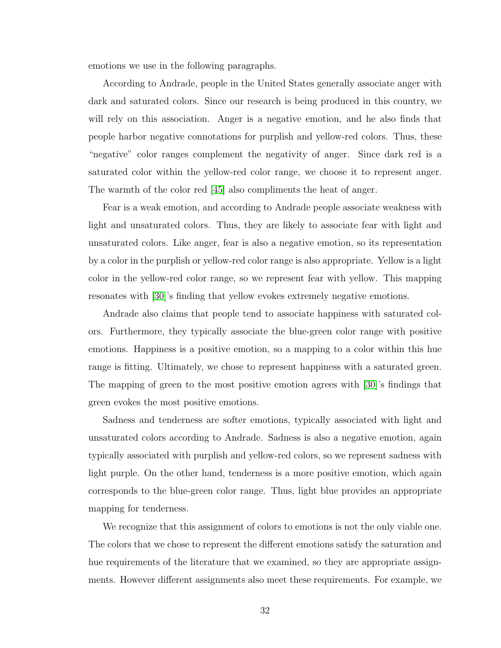emotions we use in the following paragraphs.

According to Andrade, people in the United States generally associate anger with dark and saturated colors. Since our research is being produced in this country, we will rely on this association. Anger is a negative emotion, and he also finds that people harbor negative connotations for purplish and yellow-red colors. Thus, these "negative" color ranges complement the negativity of anger. Since dark red is a saturated color within the yellow-red color range, we choose it to represent anger. The warmth of the color red [\[45\]](#page-61-0) also compliments the heat of anger.

Fear is a weak emotion, and according to Andrade people associate weakness with light and unsaturated colors. Thus, they are likely to associate fear with light and unsaturated colors. Like anger, fear is also a negative emotion, so its representation by a color in the purplish or yellow-red color range is also appropriate. Yellow is a light color in the yellow-red color range, so we represent fear with yellow. This mapping resonates with [\[30\]](#page-60-0)'s finding that yellow evokes extremely negative emotions.

Andrade also claims that people tend to associate happiness with saturated colors. Furthermore, they typically associate the blue-green color range with positive emotions. Happiness is a positive emotion, so a mapping to a color within this hue range is fitting. Ultimately, we chose to represent happiness with a saturated green. The mapping of green to the most positive emotion agrees with [\[30\]](#page-60-0)'s findings that green evokes the most positive emotions.

Sadness and tenderness are softer emotions, typically associated with light and unsaturated colors according to Andrade. Sadness is also a negative emotion, again typically associated with purplish and yellow-red colors, so we represent sadness with light purple. On the other hand, tenderness is a more positive emotion, which again corresponds to the blue-green color range. Thus, light blue provides an appropriate mapping for tenderness.

We recognize that this assignment of colors to emotions is not the only viable one. The colors that we chose to represent the different emotions satisfy the saturation and hue requirements of the literature that we examined, so they are appropriate assignments. However different assignments also meet these requirements. For example, we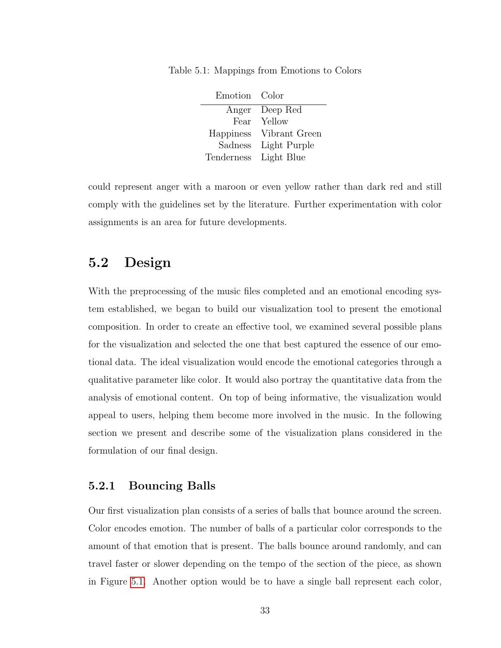| Emotion Color |                |
|---------------|----------------|
|               | Anger Deep Red |
|               | Fear Yellow    |
| Happiness     | Vibrant Green  |
| Sadness       | Light Purple   |
| Tenderness    | Light Blue     |

Table 5.1: Mappings from Emotions to Colors

could represent anger with a maroon or even yellow rather than dark red and still comply with the guidelines set by the literature. Further experimentation with color assignments is an area for future developments.

## 5.2 Design

With the preprocessing of the music files completed and an emotional encoding system established, we began to build our visualization tool to present the emotional composition. In order to create an effective tool, we examined several possible plans for the visualization and selected the one that best captured the essence of our emotional data. The ideal visualization would encode the emotional categories through a qualitative parameter like color. It would also portray the quantitative data from the analysis of emotional content. On top of being informative, the visualization would appeal to users, helping them become more involved in the music. In the following section we present and describe some of the visualization plans considered in the formulation of our final design.

### 5.2.1 Bouncing Balls

Our first visualization plan consists of a series of balls that bounce around the screen. Color encodes emotion. The number of balls of a particular color corresponds to the amount of that emotion that is present. The balls bounce around randomly, and can travel faster or slower depending on the tempo of the section of the piece, as shown in Figure [5.1.](#page-38-0) Another option would be to have a single ball represent each color,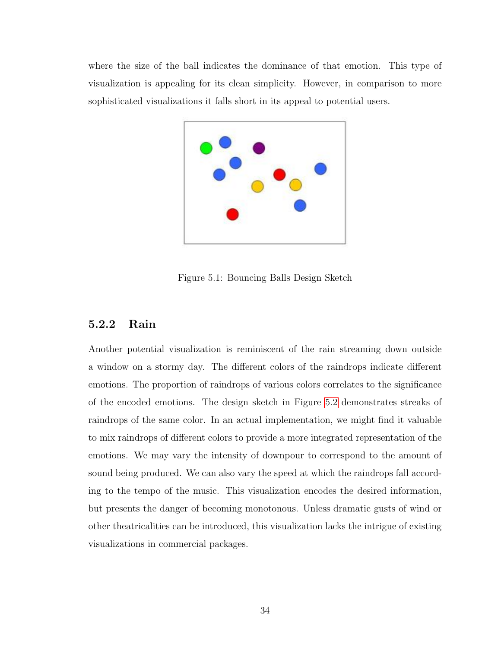where the size of the ball indicates the dominance of that emotion. This type of visualization is appealing for its clean simplicity. However, in comparison to more sophisticated visualizations it falls short in its appeal to potential users.



<span id="page-38-0"></span>Figure 5.1: Bouncing Balls Design Sketch

### 5.2.2 Rain

Another potential visualization is reminiscent of the rain streaming down outside a window on a stormy day. The different colors of the raindrops indicate different emotions. The proportion of raindrops of various colors correlates to the significance of the encoded emotions. The design sketch in Figure [5.2](#page-39-0) demonstrates streaks of raindrops of the same color. In an actual implementation, we might find it valuable to mix raindrops of different colors to provide a more integrated representation of the emotions. We may vary the intensity of downpour to correspond to the amount of sound being produced. We can also vary the speed at which the raindrops fall according to the tempo of the music. This visualization encodes the desired information, but presents the danger of becoming monotonous. Unless dramatic gusts of wind or other theatricalities can be introduced, this visualization lacks the intrigue of existing visualizations in commercial packages.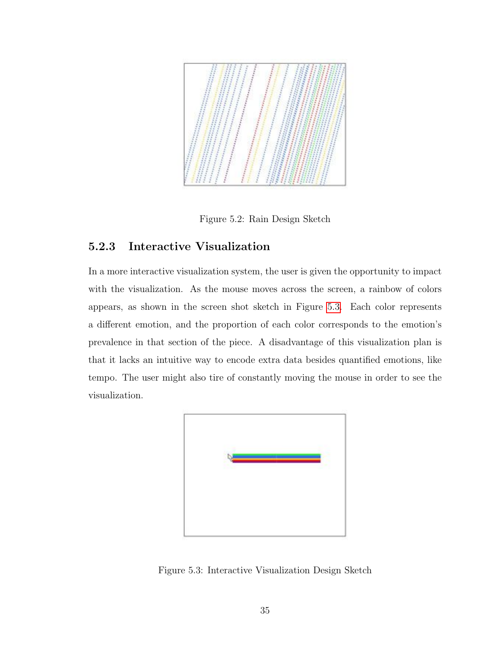

<span id="page-39-0"></span>Figure 5.2: Rain Design Sketch

## 5.2.3 Interactive Visualization

In a more interactive visualization system, the user is given the opportunity to impact with the visualization. As the mouse moves across the screen, a rainbow of colors appears, as shown in the screen shot sketch in Figure [5.3.](#page-39-1) Each color represents a different emotion, and the proportion of each color corresponds to the emotion's prevalence in that section of the piece. A disadvantage of this visualization plan is that it lacks an intuitive way to encode extra data besides quantified emotions, like tempo. The user might also tire of constantly moving the mouse in order to see the visualization.

<span id="page-39-1"></span>

Figure 5.3: Interactive Visualization Design Sketch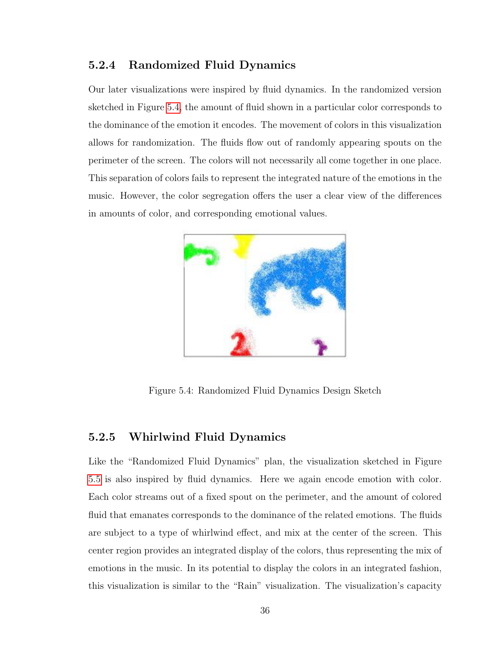## 5.2.4 Randomized Fluid Dynamics

Our later visualizations were inspired by fluid dynamics. In the randomized version sketched in Figure [5.4,](#page-40-0) the amount of fluid shown in a particular color corresponds to the dominance of the emotion it encodes. The movement of colors in this visualization allows for randomization. The fluids flow out of randomly appearing spouts on the perimeter of the screen. The colors will not necessarily all come together in one place. This separation of colors fails to represent the integrated nature of the emotions in the music. However, the color segregation offers the user a clear view of the differences in amounts of color, and corresponding emotional values.



Figure 5.4: Randomized Fluid Dynamics Design Sketch

## <span id="page-40-0"></span>5.2.5 Whirlwind Fluid Dynamics

Like the "Randomized Fluid Dynamics" plan, the visualization sketched in Figure [5.5](#page-41-0) is also inspired by fluid dynamics. Here we again encode emotion with color. Each color streams out of a fixed spout on the perimeter, and the amount of colored fluid that emanates corresponds to the dominance of the related emotions. The fluids are subject to a type of whirlwind effect, and mix at the center of the screen. This center region provides an integrated display of the colors, thus representing the mix of emotions in the music. In its potential to display the colors in an integrated fashion, this visualization is similar to the "Rain" visualization. The visualization's capacity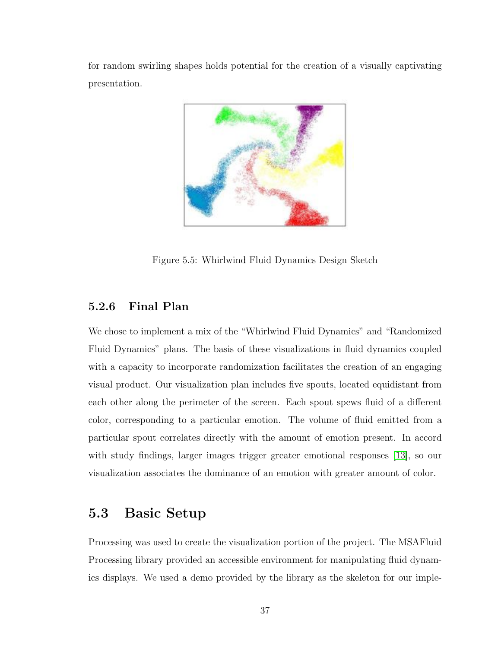for random swirling shapes holds potential for the creation of a visually captivating presentation.



<span id="page-41-0"></span>Figure 5.5: Whirlwind Fluid Dynamics Design Sketch

## 5.2.6 Final Plan

We chose to implement a mix of the "Whirlwind Fluid Dynamics" and "Randomized Fluid Dynamics" plans. The basis of these visualizations in fluid dynamics coupled with a capacity to incorporate randomization facilitates the creation of an engaging visual product. Our visualization plan includes five spouts, located equidistant from each other along the perimeter of the screen. Each spout spews fluid of a different color, corresponding to a particular emotion. The volume of fluid emitted from a particular spout correlates directly with the amount of emotion present. In accord with study findings, larger images trigger greater emotional responses [\[13\]](#page-59-0), so our visualization associates the dominance of an emotion with greater amount of color.

## 5.3 Basic Setup

Processing was used to create the visualization portion of the project. The MSAFluid Processing library provided an accessible environment for manipulating fluid dynamics displays. We used a demo provided by the library as the skeleton for our imple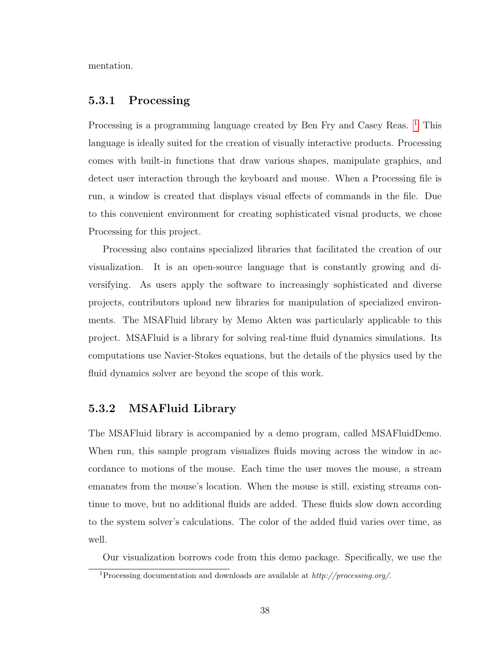mentation.

### 5.3.1 Processing

Processing is a programming language created by Ben Fry and Casey Reas. <sup>[1](#page-42-0)</sup> This language is ideally suited for the creation of visually interactive products. Processing comes with built-in functions that draw various shapes, manipulate graphics, and detect user interaction through the keyboard and mouse. When a Processing file is run, a window is created that displays visual effects of commands in the file. Due to this convenient environment for creating sophisticated visual products, we chose Processing for this project.

Processing also contains specialized libraries that facilitated the creation of our visualization. It is an open-source language that is constantly growing and diversifying. As users apply the software to increasingly sophisticated and diverse projects, contributors upload new libraries for manipulation of specialized environments. The MSAFluid library by Memo Akten was particularly applicable to this project. MSAFluid is a library for solving real-time fluid dynamics simulations. Its computations use Navier-Stokes equations, but the details of the physics used by the fluid dynamics solver are beyond the scope of this work.

## 5.3.2 MSAFluid Library

The MSAFluid library is accompanied by a demo program, called MSAFluidDemo. When run, this sample program visualizes fluids moving across the window in accordance to motions of the mouse. Each time the user moves the mouse, a stream emanates from the mouse's location. When the mouse is still, existing streams continue to move, but no additional fluids are added. These fluids slow down according to the system solver's calculations. The color of the added fluid varies over time, as well.

Our visualization borrows code from this demo package. Specifically, we use the

<span id="page-42-0"></span><sup>1</sup>Processing documentation and downloads are available at *http://processing.org/*.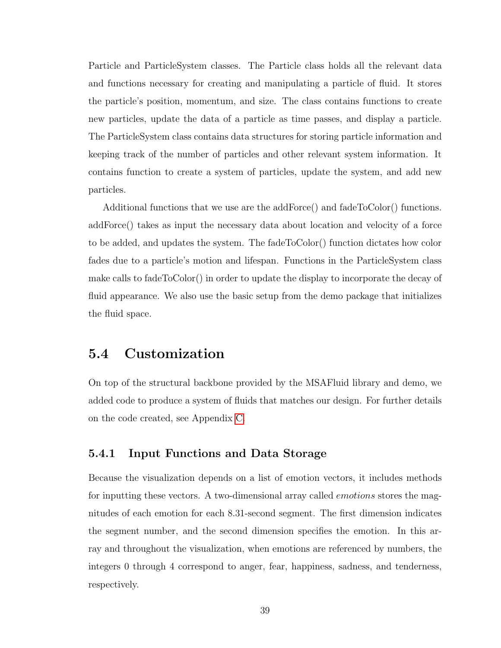Particle and ParticleSystem classes. The Particle class holds all the relevant data and functions necessary for creating and manipulating a particle of fluid. It stores the particle's position, momentum, and size. The class contains functions to create new particles, update the data of a particle as time passes, and display a particle. The ParticleSystem class contains data structures for storing particle information and keeping track of the number of particles and other relevant system information. It contains function to create a system of particles, update the system, and add new particles.

Additional functions that we use are the addForce() and fadeToColor() functions. addForce() takes as input the necessary data about location and velocity of a force to be added, and updates the system. The fadeToColor() function dictates how color fades due to a particle's motion and lifespan. Functions in the ParticleSystem class make calls to fadeToColor() in order to update the display to incorporate the decay of fluid appearance. We also use the basic setup from the demo package that initializes the fluid space.

## 5.4 Customization

On top of the structural backbone provided by the MSAFluid library and demo, we added code to produce a system of fluids that matches our design. For further details on the code created, see Appendix [C.](#page-72-0)

#### 5.4.1 Input Functions and Data Storage

Because the visualization depends on a list of emotion vectors, it includes methods for inputting these vectors. A two-dimensional array called *emotions* stores the magnitudes of each emotion for each 8*.*31-second segment. The first dimension indicates the segment number, and the second dimension specifies the emotion. In this array and throughout the visualization, when emotions are referenced by numbers, the integers 0 through 4 correspond to anger, fear, happiness, sadness, and tenderness, respectively.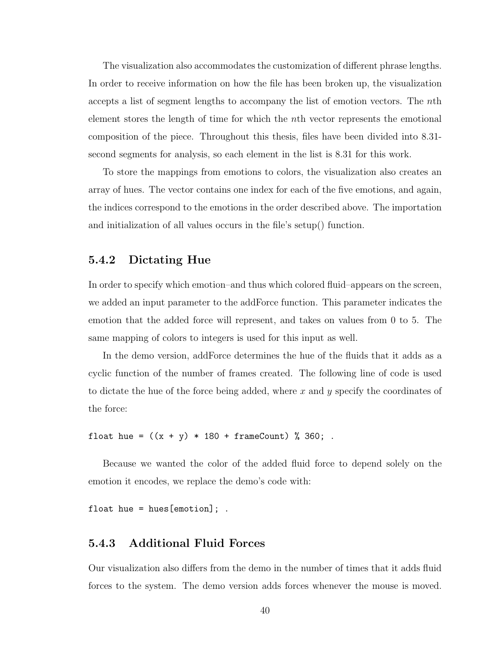The visualization also accommodates the customization of different phrase lengths. In order to receive information on how the file has been broken up, the visualization accepts a list of segment lengths to accompany the list of emotion vectors. The *n*th element stores the length of time for which the *n*th vector represents the emotional composition of the piece. Throughout this thesis, files have been divided into 8*.*31 second segments for analysis, so each element in the list is 8*.*31 for this work.

To store the mappings from emotions to colors, the visualization also creates an array of hues. The vector contains one index for each of the five emotions, and again, the indices correspond to the emotions in the order described above. The importation and initialization of all values occurs in the file's setup() function.

#### 5.4.2 Dictating Hue

In order to specify which emotion–and thus which colored fluid–appears on the screen, we added an input parameter to the addForce function. This parameter indicates the emotion that the added force will represent, and takes on values from 0 to 5. The same mapping of colors to integers is used for this input as well.

In the demo version, addForce determines the hue of the fluids that it adds as a cyclic function of the number of frames created. The following line of code is used to dictate the hue of the force being added, where *x* and *y* specify the coordinates of the force:

float hue =  $((x + y) * 180 + \text{frameCount}) % 360;$ .

Because we wanted the color of the added fluid force to depend solely on the emotion it encodes, we replace the demo's code with:

float hue = hues  $[$ emotion $]$ ; .

### 5.4.3 Additional Fluid Forces

Our visualization also differs from the demo in the number of times that it adds fluid forces to the system. The demo version adds forces whenever the mouse is moved.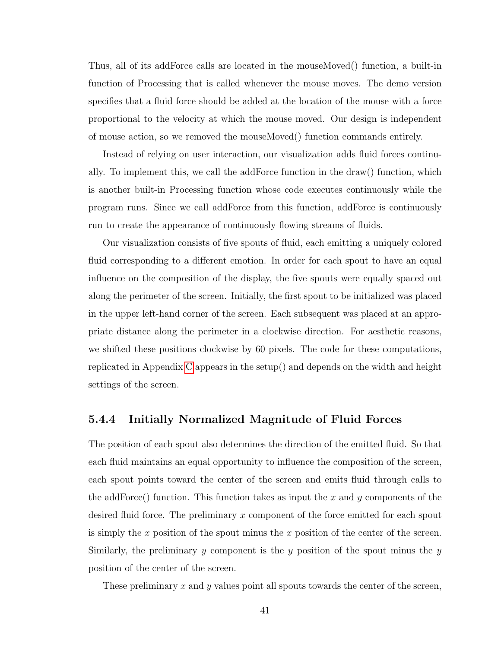Thus, all of its addForce calls are located in the mouseMoved() function, a built-in function of Processing that is called whenever the mouse moves. The demo version specifies that a fluid force should be added at the location of the mouse with a force proportional to the velocity at which the mouse moved. Our design is independent of mouse action, so we removed the mouseMoved() function commands entirely.

Instead of relying on user interaction, our visualization adds fluid forces continually. To implement this, we call the addForce function in the draw() function, which is another built-in Processing function whose code executes continuously while the program runs. Since we call addForce from this function, addForce is continuously run to create the appearance of continuously flowing streams of fluids.

Our visualization consists of five spouts of fluid, each emitting a uniquely colored fluid corresponding to a different emotion. In order for each spout to have an equal influence on the composition of the display, the five spouts were equally spaced out along the perimeter of the screen. Initially, the first spout to be initialized was placed in the upper left-hand corner of the screen. Each subsequent was placed at an appropriate distance along the perimeter in a clockwise direction. For aesthetic reasons, we shifted these positions clockwise by 60 pixels. The code for these computations, replicated in Appendix [C](#page-72-0) appears in the setup() and depends on the width and height settings of the screen.

#### 5.4.4 Initially Normalized Magnitude of Fluid Forces

The position of each spout also determines the direction of the emitted fluid. So that each fluid maintains an equal opportunity to influence the composition of the screen, each spout points toward the center of the screen and emits fluid through calls to the addForce() function. This function takes as input the *x* and *y* components of the desired fluid force. The preliminary *x* component of the force emitted for each spout is simply the *x* position of the spout minus the *x* position of the center of the screen. Similarly, the preliminary *y* component is the *y* position of the spout minus the *y* position of the center of the screen.

These preliminary *x* and *y* values point all spouts towards the center of the screen,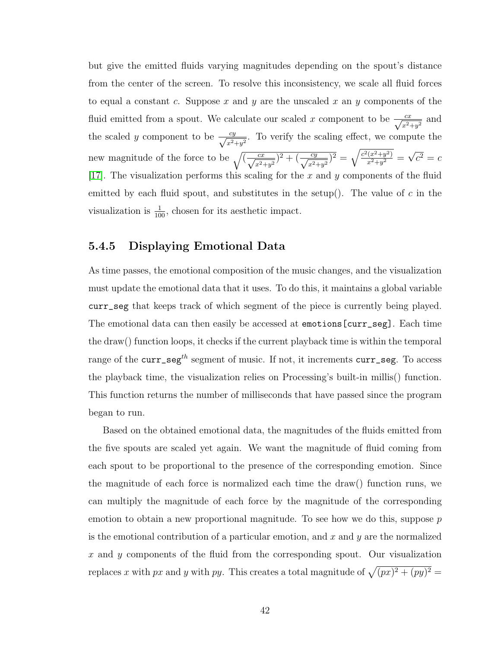but give the emitted fluids varying magnitudes depending on the spout's distance from the center of the screen. To resolve this inconsistency, we scale all fluid forces to equal a constant *c*. Suppose *x* and *y* are the unscaled *x* an *y* components of the fluid emitted from a spout. We calculate our scaled *x* component to be  $\frac{cx}{\sqrt{x^2+y^2}}$  and the scaled *y* component to be  $\frac{cy}{\sqrt{x^2+y^2}}$ . To verify the scaling effect, we compute the new magnitude of the force to be  $\sqrt{\left(\frac{cx}{\sqrt{x^2+y^2}}\right)^2 + \left(\frac{cy}{\sqrt{x^2+y^2}}\right)^2} = \sqrt{\frac{c^2(x^2+y^2)}{x^2+y^2}} = \sqrt{c^2} = c$ [\[17\]](#page-59-1). The visualization performs this scaling for the *x* and *y* components of the fluid emitted by each fluid spout, and substitutes in the setup(). The value of *c* in the visualization is  $\frac{1}{100}$ , chosen for its aesthetic impact.

### 5.4.5 Displaying Emotional Data

As time passes, the emotional composition of the music changes, and the visualization must update the emotional data that it uses. To do this, it maintains a global variable curr\_seg that keeps track of which segment of the piece is currently being played. The emotional data can then easily be accessed at emotions[curr\_seg]. Each time the draw() function loops, it checks if the current playback time is within the temporal range of the curr\_seg*th* segment of music. If not, it increments curr\_seg. To access the playback time, the visualization relies on Processing's built-in millis() function. This function returns the number of milliseconds that have passed since the program began to run.

Based on the obtained emotional data, the magnitudes of the fluids emitted from the five spouts are scaled yet again. We want the magnitude of fluid coming from each spout to be proportional to the presence of the corresponding emotion. Since the magnitude of each force is normalized each time the draw() function runs, we can multiply the magnitude of each force by the magnitude of the corresponding emotion to obtain a new proportional magnitude. To see how we do this, suppose *p* is the emotional contribution of a particular emotion, and *x* and *y* are the normalized *x* and *y* components of the fluid from the corresponding spout. Our visualization replaces *x* with *px* and *y* with *py*. This creates a total magnitude of  $\sqrt{(px)^2 + (py)^2} =$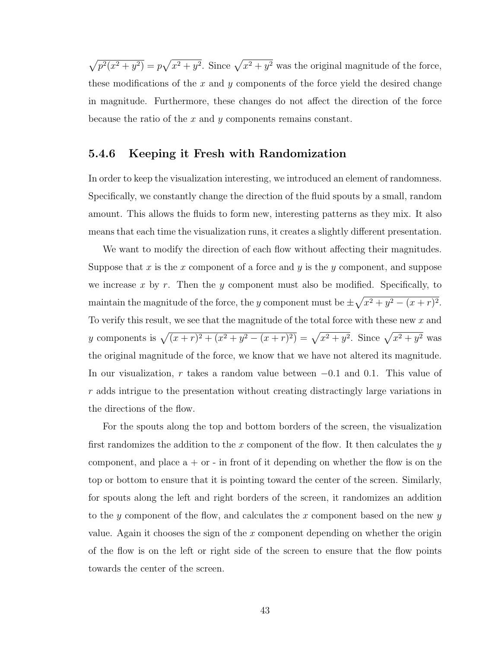$\sqrt{p^2(x^2 + y^2)} = p\sqrt{x^2 + y^2}$ . Since  $\sqrt{x^2 + y^2}$  was the original magnitude of the force, these modifications of the *x* and *y* components of the force yield the desired change in magnitude. Furthermore, these changes do not affect the direction of the force because the ratio of the *x* and *y* components remains constant.

## 5.4.6 Keeping it Fresh with Randomization

In order to keep the visualization interesting, we introduced an element of randomness. Specifically, we constantly change the direction of the fluid spouts by a small, random amount. This allows the fluids to form new, interesting patterns as they mix. It also means that each time the visualization runs, it creates a slightly different presentation.

We want to modify the direction of each flow without affecting their magnitudes. Suppose that *x* is the *x* component of a force and *y* is the *y* component, and suppose we increase *x* by *r*. Then the *y* component must also be modified. Specifically, to maintain the magnitude of the force, the *y* component must be  $\pm \sqrt{x^2 + y^2 - (x + r)^2}$ . To verify this result, we see that the magnitude of the total force with these new *x* and *y* components is  $\sqrt{(x+r)^2 + (x^2 + y^2 - (x+r)^2)} = \sqrt{x^2 + y^2}$ . Since  $\sqrt{x^2 + y^2}$  was the original magnitude of the force, we know that we have not altered its magnitude. In our visualization, *r* takes a random value between −0*.*1 and 0*.*1. This value of *r* adds intrigue to the presentation without creating distractingly large variations in the directions of the flow.

For the spouts along the top and bottom borders of the screen, the visualization first randomizes the addition to the *x* component of the flow. It then calculates the *y* component, and place  $a + or - in$  front of it depending on whether the flow is on the top or bottom to ensure that it is pointing toward the center of the screen. Similarly, for spouts along the left and right borders of the screen, it randomizes an addition to the *y* component of the flow, and calculates the *x* component based on the new *y* value. Again it chooses the sign of the *x* component depending on whether the origin of the flow is on the left or right side of the screen to ensure that the flow points towards the center of the screen.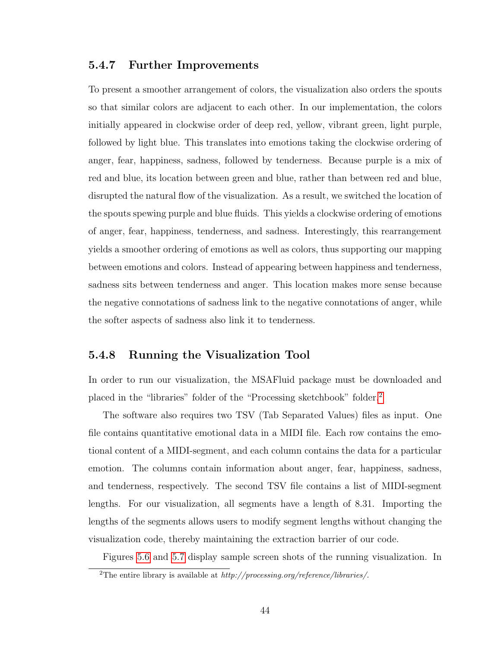### 5.4.7 Further Improvements

To present a smoother arrangement of colors, the visualization also orders the spouts so that similar colors are adjacent to each other. In our implementation, the colors initially appeared in clockwise order of deep red, yellow, vibrant green, light purple, followed by light blue. This translates into emotions taking the clockwise ordering of anger, fear, happiness, sadness, followed by tenderness. Because purple is a mix of red and blue, its location between green and blue, rather than between red and blue, disrupted the natural flow of the visualization. As a result, we switched the location of the spouts spewing purple and blue fluids. This yields a clockwise ordering of emotions of anger, fear, happiness, tenderness, and sadness. Interestingly, this rearrangement yields a smoother ordering of emotions as well as colors, thus supporting our mapping between emotions and colors. Instead of appearing between happiness and tenderness, sadness sits between tenderness and anger. This location makes more sense because the negative connotations of sadness link to the negative connotations of anger, while the softer aspects of sadness also link it to tenderness.

### 5.4.8 Running the Visualization Tool

In order to run our visualization, the MSAFluid package must be downloaded and placed in the "libraries" folder of the "Processing sketchbook" folder.[2](#page-48-0)

The software also requires two TSV (Tab Separated Values) files as input. One file contains quantitative emotional data in a MIDI file. Each row contains the emotional content of a MIDI-segment, and each column contains the data for a particular emotion. The columns contain information about anger, fear, happiness, sadness, and tenderness, respectively. The second TSV file contains a list of MIDI-segment lengths. For our visualization, all segments have a length of 8*.*31. Importing the lengths of the segments allows users to modify segment lengths without changing the visualization code, thereby maintaining the extraction barrier of our code.

Figures [5.6](#page-49-0) and [5.7](#page-50-0) display sample screen shots of the running visualization. In

<span id="page-48-0"></span><sup>2</sup>The entire library is available at *http://processing.org/reference/libraries/*.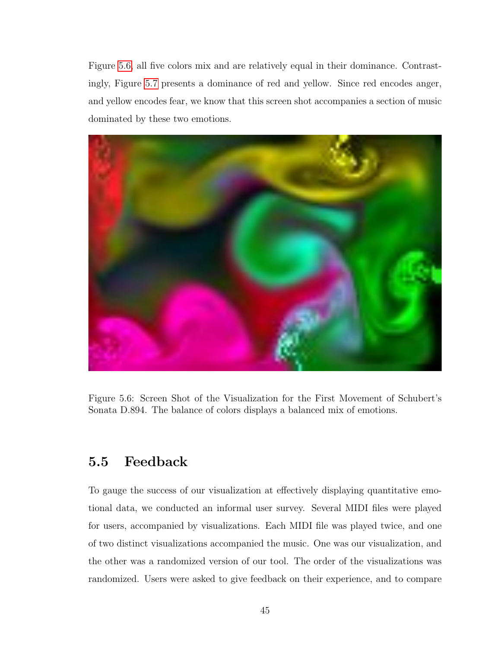Figure [5.6,](#page-49-0) all five colors mix and are relatively equal in their dominance. Contrastingly, Figure [5.7](#page-50-0) presents a dominance of red and yellow. Since red encodes anger, and yellow encodes fear, we know that this screen shot accompanies a section of music dominated by these two emotions.



<span id="page-49-0"></span>Figure 5.6: Screen Shot of the Visualization for the First Movement of Schubert's Sonata D.894. The balance of colors displays a balanced mix of emotions.

## 5.5 Feedback

To gauge the success of our visualization at effectively displaying quantitative emotional data, we conducted an informal user survey. Several MIDI files were played for users, accompanied by visualizations. Each MIDI file was played twice, and one of two distinct visualizations accompanied the music. One was our visualization, and the other was a randomized version of our tool. The order of the visualizations was randomized. Users were asked to give feedback on their experience, and to compare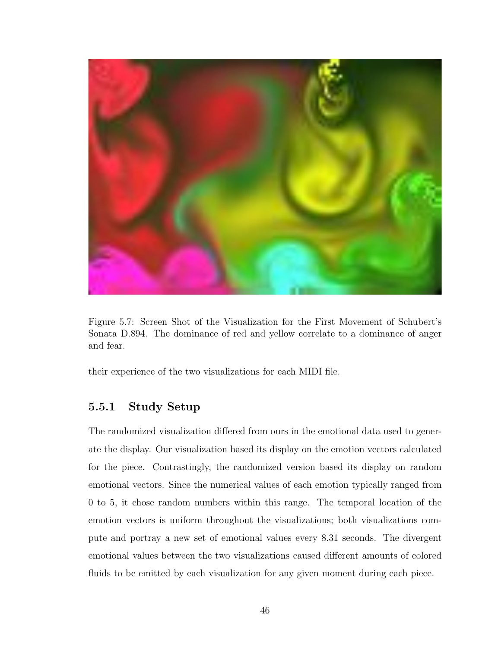

Figure 5.7: Screen Shot of the Visualization for the First Movement of Schubert's Sonata D.894. The dominance of red and yellow correlate to a dominance of anger and fear.

<span id="page-50-0"></span>their experience of the two visualizations for each MIDI file.

## 5.5.1 Study Setup

The randomized visualization differed from ours in the emotional data used to generate the display. Our visualization based its display on the emotion vectors calculated for the piece. Contrastingly, the randomized version based its display on random emotional vectors. Since the numerical values of each emotion typically ranged from 0 to 5, it chose random numbers within this range. The temporal location of the emotion vectors is uniform throughout the visualizations; both visualizations compute and portray a new set of emotional values every 8*.*31 seconds. The divergent emotional values between the two visualizations caused different amounts of colored fluids to be emitted by each visualization for any given moment during each piece.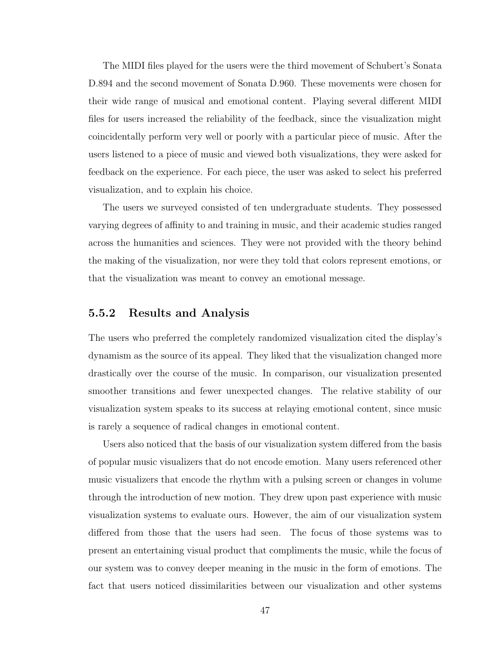The MIDI files played for the users were the third movement of Schubert's Sonata D.894 and the second movement of Sonata D.960. These movements were chosen for their wide range of musical and emotional content. Playing several different MIDI files for users increased the reliability of the feedback, since the visualization might coincidentally perform very well or poorly with a particular piece of music. After the users listened to a piece of music and viewed both visualizations, they were asked for feedback on the experience. For each piece, the user was asked to select his preferred visualization, and to explain his choice.

The users we surveyed consisted of ten undergraduate students. They possessed varying degrees of affinity to and training in music, and their academic studies ranged across the humanities and sciences. They were not provided with the theory behind the making of the visualization, nor were they told that colors represent emotions, or that the visualization was meant to convey an emotional message.

#### 5.5.2 Results and Analysis

The users who preferred the completely randomized visualization cited the display's dynamism as the source of its appeal. They liked that the visualization changed more drastically over the course of the music. In comparison, our visualization presented smoother transitions and fewer unexpected changes. The relative stability of our visualization system speaks to its success at relaying emotional content, since music is rarely a sequence of radical changes in emotional content.

Users also noticed that the basis of our visualization system differed from the basis of popular music visualizers that do not encode emotion. Many users referenced other music visualizers that encode the rhythm with a pulsing screen or changes in volume through the introduction of new motion. They drew upon past experience with music visualization systems to evaluate ours. However, the aim of our visualization system differed from those that the users had seen. The focus of those systems was to present an entertaining visual product that compliments the music, while the focus of our system was to convey deeper meaning in the music in the form of emotions. The fact that users noticed dissimilarities between our visualization and other systems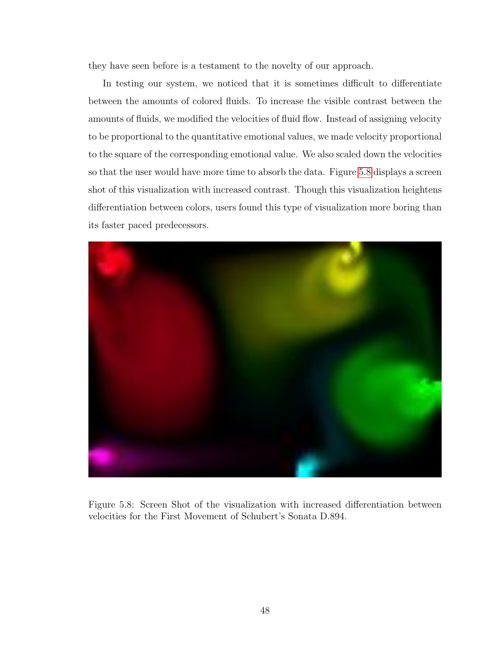they have seen before is a testament to the novelty of our approach.

In testing our system, we noticed that it is sometimes difficult to differentiate between the amounts of colored fluids. To increase the visible contrast between the amounts of fluids, we modified the velocities of fluid flow. Instead of assigning velocity to be proportional to the quantitative emotional values, we made velocity proportional to the square of the corresponding emotional value. We also scaled down the velocities so that the user would have more time to absorb the data. Figure [5.8](#page-52-0) displays a screen shot of this visualization with increased contrast. Though this visualization heightens differentiation between colors, users found this type of visualization more boring than its faster paced predecessors.



<span id="page-52-0"></span>Figure 5.8: Screen Shot of the visualization with increased differentiation between velocities for the First Movement of Schubert's Sonata D.894.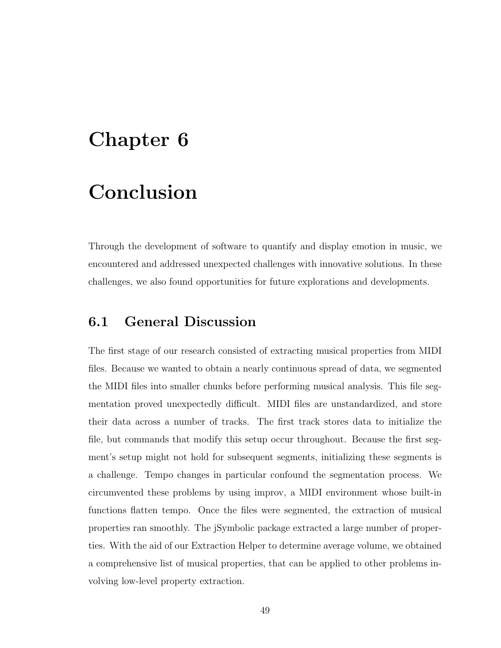## Chapter 6

## Conclusion

Through the development of software to quantify and display emotion in music, we encountered and addressed unexpected challenges with innovative solutions. In these challenges, we also found opportunities for future explorations and developments.

## 6.1 General Discussion

The first stage of our research consisted of extracting musical properties from MIDI files. Because we wanted to obtain a nearly continuous spread of data, we segmented the MIDI files into smaller chunks before performing musical analysis. This file segmentation proved unexpectedly difficult. MIDI files are unstandardized, and store their data across a number of tracks. The first track stores data to initialize the file, but commands that modify this setup occur throughout. Because the first segment's setup might not hold for subsequent segments, initializing these segments is a challenge. Tempo changes in particular confound the segmentation process. We circumvented these problems by using improv, a MIDI environment whose built-in functions flatten tempo. Once the files were segmented, the extraction of musical properties ran smoothly. The jSymbolic package extracted a large number of properties. With the aid of our Extraction Helper to determine average volume, we obtained a comprehensive list of musical properties, that can be applied to other problems involving low-level property extraction.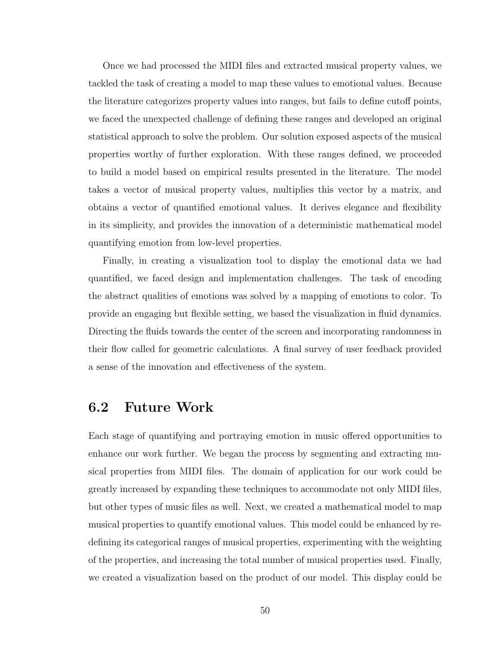Once we had processed the MIDI files and extracted musical property values, we tackled the task of creating a model to map these values to emotional values. Because the literature categorizes property values into ranges, but fails to define cutoff points, we faced the unexpected challenge of defining these ranges and developed an original statistical approach to solve the problem. Our solution exposed aspects of the musical properties worthy of further exploration. With these ranges defined, we proceeded to build a model based on empirical results presented in the literature. The model takes a vector of musical property values, multiplies this vector by a matrix, and obtains a vector of quantified emotional values. It derives elegance and flexibility in its simplicity, and provides the innovation of a deterministic mathematical model quantifying emotion from low-level properties.

Finally, in creating a visualization tool to display the emotional data we had quantified, we faced design and implementation challenges. The task of encoding the abstract qualities of emotions was solved by a mapping of emotions to color. To provide an engaging but flexible setting, we based the visualization in fluid dynamics. Directing the fluids towards the center of the screen and incorporating randomness in their flow called for geometric calculations. A final survey of user feedback provided a sense of the innovation and effectiveness of the system.

## 6.2 Future Work

Each stage of quantifying and portraying emotion in music offered opportunities to enhance our work further. We began the process by segmenting and extracting musical properties from MIDI files. The domain of application for our work could be greatly increased by expanding these techniques to accommodate not only MIDI files, but other types of music files as well. Next, we created a mathematical model to map musical properties to quantify emotional values. This model could be enhanced by redefining its categorical ranges of musical properties, experimenting with the weighting of the properties, and increasing the total number of musical properties used. Finally, we created a visualization based on the product of our model. This display could be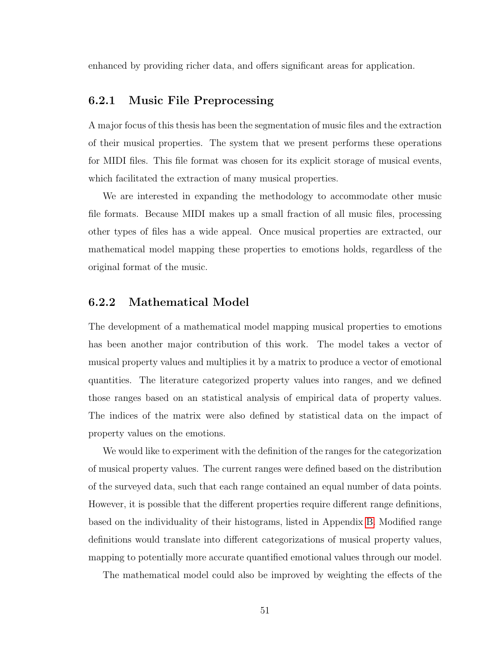enhanced by providing richer data, and offers significant areas for application.

### 6.2.1 Music File Preprocessing

A major focus of this thesis has been the segmentation of music files and the extraction of their musical properties. The system that we present performs these operations for MIDI files. This file format was chosen for its explicit storage of musical events, which facilitated the extraction of many musical properties.

We are interested in expanding the methodology to accommodate other music file formats. Because MIDI makes up a small fraction of all music files, processing other types of files has a wide appeal. Once musical properties are extracted, our mathematical model mapping these properties to emotions holds, regardless of the original format of the music.

## 6.2.2 Mathematical Model

The development of a mathematical model mapping musical properties to emotions has been another major contribution of this work. The model takes a vector of musical property values and multiplies it by a matrix to produce a vector of emotional quantities. The literature categorized property values into ranges, and we defined those ranges based on an statistical analysis of empirical data of property values. The indices of the matrix were also defined by statistical data on the impact of property values on the emotions.

We would like to experiment with the definition of the ranges for the categorization of musical property values. The current ranges were defined based on the distribution of the surveyed data, such that each range contained an equal number of data points. However, it is possible that the different properties require different range definitions, based on the individuality of their histograms, listed in Appendix [B.](#page-67-0) Modified range definitions would translate into different categorizations of musical property values, mapping to potentially more accurate quantified emotional values through our model.

The mathematical model could also be improved by weighting the effects of the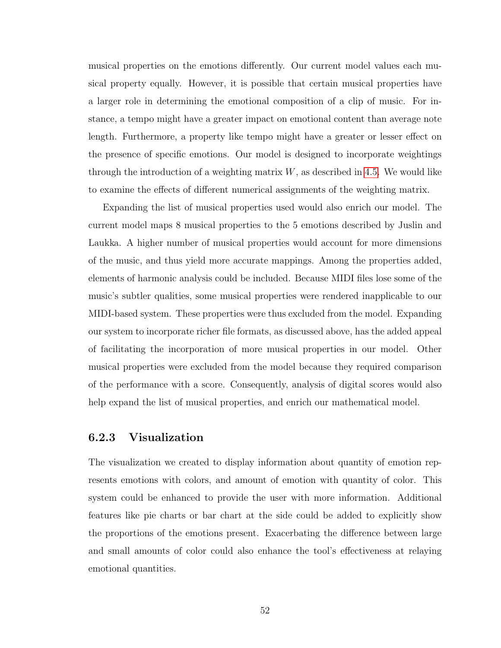musical properties on the emotions differently. Our current model values each musical property equally. However, it is possible that certain musical properties have a larger role in determining the emotional composition of a clip of music. For instance, a tempo might have a greater impact on emotional content than average note length. Furthermore, a property like tempo might have a greater or lesser effect on the presence of specific emotions. Our model is designed to incorporate weightings through the introduction of a weighting matrix *W*, as described in [4.5.](#page-31-0) We would like to examine the effects of different numerical assignments of the weighting matrix.

Expanding the list of musical properties used would also enrich our model. The current model maps 8 musical properties to the 5 emotions described by Juslin and Laukka. A higher number of musical properties would account for more dimensions of the music, and thus yield more accurate mappings. Among the properties added, elements of harmonic analysis could be included. Because MIDI files lose some of the music's subtler qualities, some musical properties were rendered inapplicable to our MIDI-based system. These properties were thus excluded from the model. Expanding our system to incorporate richer file formats, as discussed above, has the added appeal of facilitating the incorporation of more musical properties in our model. Other musical properties were excluded from the model because they required comparison of the performance with a score. Consequently, analysis of digital scores would also help expand the list of musical properties, and enrich our mathematical model.

## 6.2.3 Visualization

The visualization we created to display information about quantity of emotion represents emotions with colors, and amount of emotion with quantity of color. This system could be enhanced to provide the user with more information. Additional features like pie charts or bar chart at the side could be added to explicitly show the proportions of the emotions present. Exacerbating the difference between large and small amounts of color could also enhance the tool's effectiveness at relaying emotional quantities.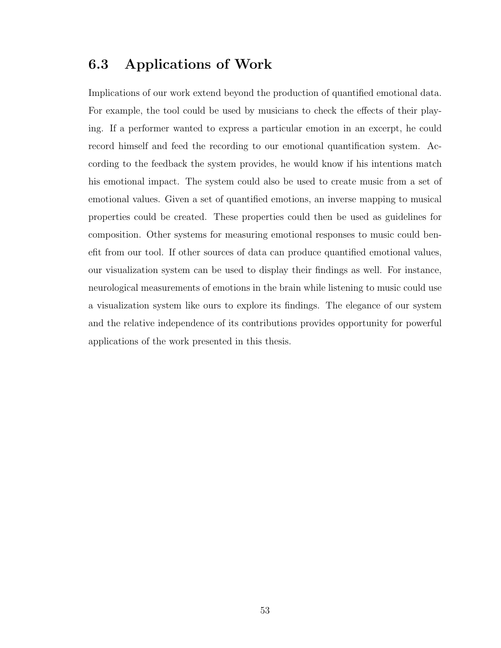## 6.3 Applications of Work

Implications of our work extend beyond the production of quantified emotional data. For example, the tool could be used by musicians to check the effects of their playing. If a performer wanted to express a particular emotion in an excerpt, he could record himself and feed the recording to our emotional quantification system. According to the feedback the system provides, he would know if his intentions match his emotional impact. The system could also be used to create music from a set of emotional values. Given a set of quantified emotions, an inverse mapping to musical properties could be created. These properties could then be used as guidelines for composition. Other systems for measuring emotional responses to music could benefit from our tool. If other sources of data can produce quantified emotional values, our visualization system can be used to display their findings as well. For instance, neurological measurements of emotions in the brain while listening to music could use a visualization system like ours to explore its findings. The elegance of our system and the relative independence of its contributions provides opportunity for powerful applications of the work presented in this thesis.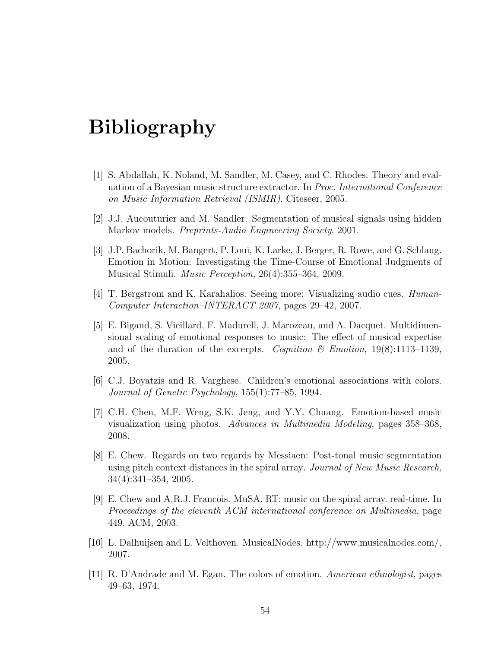## Bibliography

- [1] S. Abdallah, K. Noland, M. Sandler, M. Casey, and C. Rhodes. Theory and evaluation of a Bayesian music structure extractor. In *Proc. International Conference on Music Information Retrieval (ISMIR)*. Citeseer, 2005.
- [2] J.J. Aucouturier and M. Sandler. Segmentation of musical signals using hidden Markov models. *Preprints-Audio Engineering Society*, 2001.
- [3] J.P. Bachorik, M. Bangert, P. Loui, K. Larke, J. Berger, R. Rowe, and G. Schlaug. Emotion in Motion: Investigating the Time-Course of Emotional Judgments of Musical Stimuli. *Music Perception*, 26(4):355–364, 2009.
- [4] T. Bergstrom and K. Karahalios. Seeing more: Visualizing audio cues. *Human-Computer Interaction–INTERACT 2007*, pages 29–42, 2007.
- [5] E. Bigand, S. Vieillard, F. Madurell, J. Marozeau, and A. Dacquet. Multidimensional scaling of emotional responses to music: The effect of musical expertise and of the duration of the excerpts. *Cognition & Emotion*, 19(8):1113–1139, 2005.
- [6] C.J. Boyatzis and R. Varghese. Children's emotional associations with colors. *Journal of Genetic Psychology*, 155(1):77–85, 1994.
- [7] C.H. Chen, M.F. Weng, S.K. Jeng, and Y.Y. Chuang. Emotion-based music visualization using photos. *Advances in Multimedia Modeling*, pages 358–368, 2008.
- [8] E. Chew. Regards on two regards by Messiaen: Post-tonal music segmentation using pitch context distances in the spiral array. *Journal of New Music Research*, 34(4):341–354, 2005.
- [9] E. Chew and A.R.J. Francois. MuSA. RT: music on the spiral array. real-time. In *Proceedings of the eleventh ACM international conference on Multimedia*, page 449. ACM, 2003.
- [10] L. Dalhuijsen and L. Velthoven. MusicalNodes. http://www.musicalnodes.com/, 2007.
- [11] R. D'Andrade and M. Egan. The colors of emotion. *American ethnologist*, pages 49–63, 1974.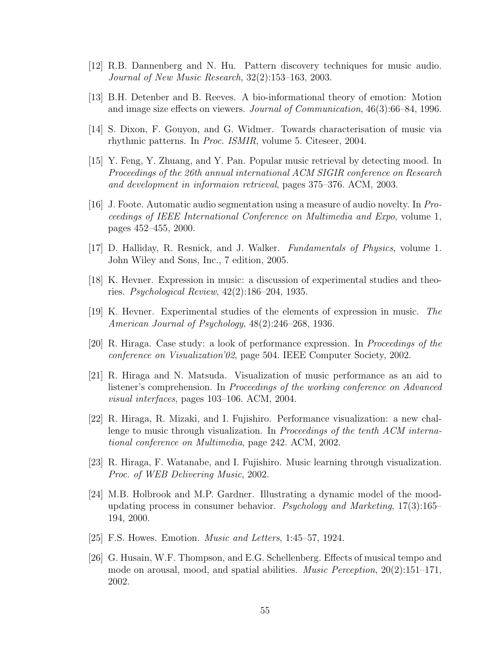- [12] R.B. Dannenberg and N. Hu. Pattern discovery techniques for music audio. *Journal of New Music Research*, 32(2):153–163, 2003.
- <span id="page-59-0"></span>[13] B.H. Detenber and B. Reeves. A bio-informational theory of emotion: Motion and image size effects on viewers. *Journal of Communication*, 46(3):66–84, 1996.
- [14] S. Dixon, F. Gouyon, and G. Widmer. Towards characterisation of music via rhythmic patterns. In *Proc. ISMIR*, volume 5. Citeseer, 2004.
- [15] Y. Feng, Y. Zhuang, and Y. Pan. Popular music retrieval by detecting mood. In *Proceedings of the 26th annual international ACM SIGIR conference on Research and development in informaion retrieval*, pages 375–376. ACM, 2003.
- [16] J. Foote. Automatic audio segmentation using a measure of audio novelty. In *Proceedings of IEEE International Conference on Multimedia and Expo*, volume 1, pages 452–455, 2000.
- <span id="page-59-1"></span>[17] D. Halliday, R. Resnick, and J. Walker. *Fundamentals of Physics*, volume 1. John Wiley and Sons, Inc., 7 edition, 2005.
- [18] K. Hevner. Expression in music: a discussion of experimental studies and theories. *Psychological Review*, 42(2):186–204, 1935.
- [19] K. Hevner. Experimental studies of the elements of expression in music. *The American Journal of Psychology*, 48(2):246–268, 1936.
- [20] R. Hiraga. Case study: a look of performance expression. In *Proceedings of the conference on Visualization'02*, page 504. IEEE Computer Society, 2002.
- [21] R. Hiraga and N. Matsuda. Visualization of music performance as an aid to listener's comprehension. In *Proceedings of the working conference on Advanced visual interfaces*, pages 103–106. ACM, 2004.
- [22] R. Hiraga, R. Mizaki, and I. Fujishiro. Performance visualization: a new challenge to music through visualization. In *Proceedings of the tenth ACM international conference on Multimedia*, page 242. ACM, 2002.
- [23] R. Hiraga, F. Watanabe, and I. Fujishiro. Music learning through visualization. *Proc. of WEB Delivering Music*, 2002.
- [24] M.B. Holbrook and M.P. Gardner. Illustrating a dynamic model of the moodupdating process in consumer behavior. *Psychology and Marketing*, 17(3):165– 194, 2000.
- [25] F.S. Howes. Emotion. *Music and Letters*, 1:45–57, 1924.
- [26] G. Husain, W.F. Thompson, and E.G. Schellenberg. Effects of musical tempo and mode on arousal, mood, and spatial abilities. *Music Perception*, 20(2):151–171, 2002.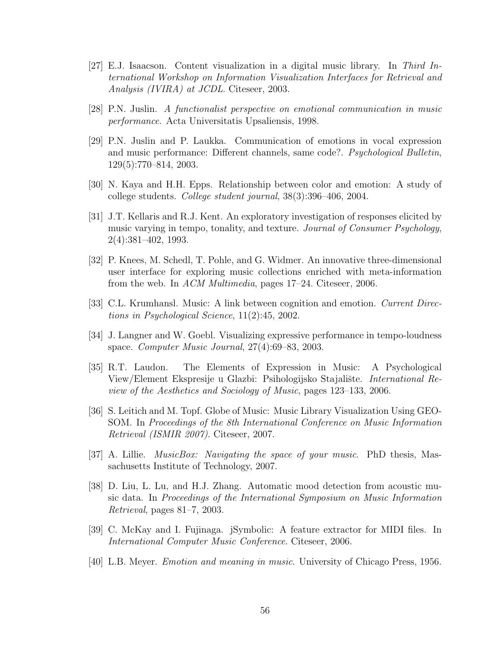- [27] E.J. Isaacson. Content visualization in a digital music library. In *Third International Workshop on Information Visualization Interfaces for Retrieval and Analysis (IVIRA) at JCDL*. Citeseer, 2003.
- [28] P.N. Juslin. *A functionalist perspective on emotional communication in music performance*. Acta Universitatis Upsaliensis, 1998.
- [29] P.N. Juslin and P. Laukka. Communication of emotions in vocal expression and music performance: Different channels, same code?. *Psychological Bulletin*, 129(5):770–814, 2003.
- <span id="page-60-0"></span>[30] N. Kaya and H.H. Epps. Relationship between color and emotion: A study of college students. *College student journal*, 38(3):396–406, 2004.
- [31] J.T. Kellaris and R.J. Kent. An exploratory investigation of responses elicited by music varying in tempo, tonality, and texture. *Journal of Consumer Psychology*, 2(4):381–402, 1993.
- [32] P. Knees, M. Schedl, T. Pohle, and G. Widmer. An innovative three-dimensional user interface for exploring music collections enriched with meta-information from the web. In *ACM Multimedia*, pages 17–24. Citeseer, 2006.
- [33] C.L. Krumhansl. Music: A link between cognition and emotion. *Current Directions in Psychological Science*, 11(2):45, 2002.
- [34] J. Langner and W. Goebl. Visualizing expressive performance in tempo-loudness space. *Computer Music Journal*, 27(4):69–83, 2003.
- [35] R.T. Laudon. The Elements of Expression in Music: A Psychological View/Element Ekspresije u Glazbi: Psihologijsko Stajalište. *International Review of the Aesthetics and Sociology of Music*, pages 123–133, 2006.
- [36] S. Leitich and M. Topf. Globe of Music: Music Library Visualization Using GEO-SOM. In *Proceedings of the 8th International Conference on Music Information Retrieval (ISMIR 2007)*. Citeseer, 2007.
- [37] A. Lillie. *MusicBox: Navigating the space of your music*. PhD thesis, Massachusetts Institute of Technology, 2007.
- [38] D. Liu, L. Lu, and H.J. Zhang. Automatic mood detection from acoustic music data. In *Proceedings of the International Symposium on Music Information Retrieval*, pages 81–7, 2003.
- [39] C. McKay and I. Fujinaga. jSymbolic: A feature extractor for MIDI files. In *International Computer Music Conference*. Citeseer, 2006.
- [40] L.B. Meyer. *Emotion and meaning in music*. University of Chicago Press, 1956.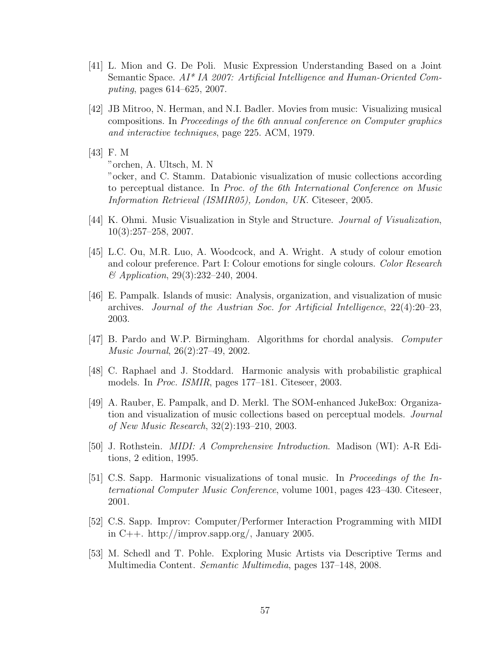- [41] L. Mion and G. De Poli. Music Expression Understanding Based on a Joint Semantic Space. *AI\* IA 2007: Artificial Intelligence and Human-Oriented Computing*, pages 614–625, 2007.
- [42] JB Mitroo, N. Herman, and N.I. Badler. Movies from music: Visualizing musical compositions. In *Proceedings of the 6th annual conference on Computer graphics and interactive techniques*, page 225. ACM, 1979.
- [43] F. M "orchen, A. Ultsch, M. N "ocker, and C. Stamm. Databionic visualization of music collections according to perceptual distance. In *Proc. of the 6th International Conference on Music Information Retrieval (ISMIR05), London, UK*. Citeseer, 2005.
- [44] K. Ohmi. Music Visualization in Style and Structure. *Journal of Visualization*, 10(3):257–258, 2007.
- <span id="page-61-0"></span>[45] L.C. Ou, M.R. Luo, A. Woodcock, and A. Wright. A study of colour emotion and colour preference. Part I: Colour emotions for single colours. *Color Research & Application*, 29(3):232–240, 2004.
- [46] E. Pampalk. Islands of music: Analysis, organization, and visualization of music archives. *Journal of the Austrian Soc. for Artificial Intelligence*, 22(4):20–23, 2003.
- [47] B. Pardo and W.P. Birmingham. Algorithms for chordal analysis. *Computer Music Journal*, 26(2):27–49, 2002.
- [48] C. Raphael and J. Stoddard. Harmonic analysis with probabilistic graphical models. In *Proc. ISMIR*, pages 177–181. Citeseer, 2003.
- [49] A. Rauber, E. Pampalk, and D. Merkl. The SOM-enhanced JukeBox: Organization and visualization of music collections based on perceptual models. *Journal of New Music Research*, 32(2):193–210, 2003.
- [50] J. Rothstein. *MIDI: A Comprehensive Introduction*. Madison (WI): A-R Editions, 2 edition, 1995.
- [51] C.S. Sapp. Harmonic visualizations of tonal music. In *Proceedings of the International Computer Music Conference*, volume 1001, pages 423–430. Citeseer, 2001.
- [52] C.S. Sapp. Improv: Computer/Performer Interaction Programming with MIDI in C++. http://improv.sapp.org/, January 2005.
- [53] M. Schedl and T. Pohle. Exploring Music Artists via Descriptive Terms and Multimedia Content. *Semantic Multimedia*, pages 137–148, 2008.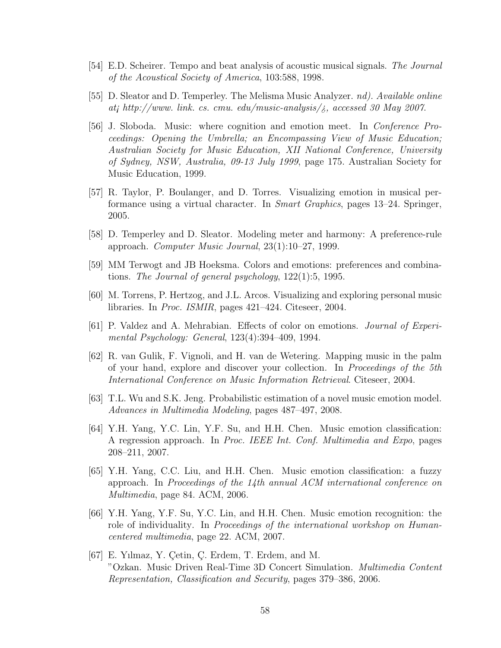- [54] E.D. Scheirer. Tempo and beat analysis of acoustic musical signals. *The Journal of the Acoustical Society of America*, 103:588, 1998.
- [55] D. Sleator and D. Temperley. The Melisma Music Analyzer. *nd). Available online at¡ http://www. link. cs. cmu. edu/music-analysis/¿, accessed 30 May 2007*.
- [56] J. Sloboda. Music: where cognition and emotion meet. In *Conference Proceedings: Opening the Umbrella; an Encompassing View of Music Education; Australian Society for Music Education, XII National Conference, University of Sydney, NSW, Australia, 09-13 July 1999*, page 175. Australian Society for Music Education, 1999.
- [57] R. Taylor, P. Boulanger, and D. Torres. Visualizing emotion in musical performance using a virtual character. In *Smart Graphics*, pages 13–24. Springer, 2005.
- [58] D. Temperley and D. Sleator. Modeling meter and harmony: A preference-rule approach. *Computer Music Journal*, 23(1):10–27, 1999.
- [59] MM Terwogt and JB Hoeksma. Colors and emotions: preferences and combinations. *The Journal of general psychology*, 122(1):5, 1995.
- [60] M. Torrens, P. Hertzog, and J.L. Arcos. Visualizing and exploring personal music libraries. In *Proc. ISMIR*, pages 421–424. Citeseer, 2004.
- [61] P. Valdez and A. Mehrabian. Effects of color on emotions. *Journal of Experimental Psychology: General*, 123(4):394–409, 1994.
- [62] R. van Gulik, F. Vignoli, and H. van de Wetering. Mapping music in the palm of your hand, explore and discover your collection. In *Proceedings of the 5th International Conference on Music Information Retrieval*. Citeseer, 2004.
- [63] T.L. Wu and S.K. Jeng. Probabilistic estimation of a novel music emotion model. *Advances in Multimedia Modeling*, pages 487–497, 2008.
- [64] Y.H. Yang, Y.C. Lin, Y.F. Su, and H.H. Chen. Music emotion classification: A regression approach. In *Proc. IEEE Int. Conf. Multimedia and Expo*, pages 208–211, 2007.
- [65] Y.H. Yang, C.C. Liu, and H.H. Chen. Music emotion classification: a fuzzy approach. In *Proceedings of the 14th annual ACM international conference on Multimedia*, page 84. ACM, 2006.
- [66] Y.H. Yang, Y.F. Su, Y.C. Lin, and H.H. Chen. Music emotion recognition: the role of individuality. In *Proceedings of the international workshop on Humancentered multimedia*, page 22. ACM, 2007.
- [67] E. Yılmaz, Y. Çetin, Ç. Erdem, T. Erdem, and M. "Ozkan. Music Driven Real-Time 3D Concert Simulation. *Multimedia Content Representation, Classification and Security*, pages 379–386, 2006.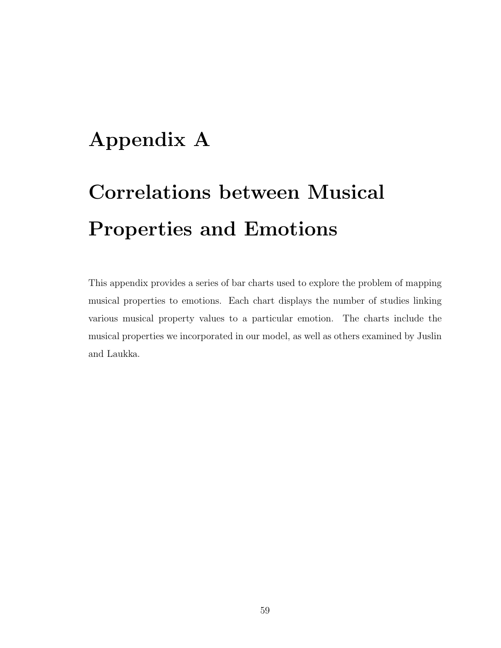## Appendix A

# Correlations between Musical Properties and Emotions

This appendix provides a series of bar charts used to explore the problem of mapping musical properties to emotions. Each chart displays the number of studies linking various musical property values to a particular emotion. The charts include the musical properties we incorporated in our model, as well as others examined by Juslin and Laukka.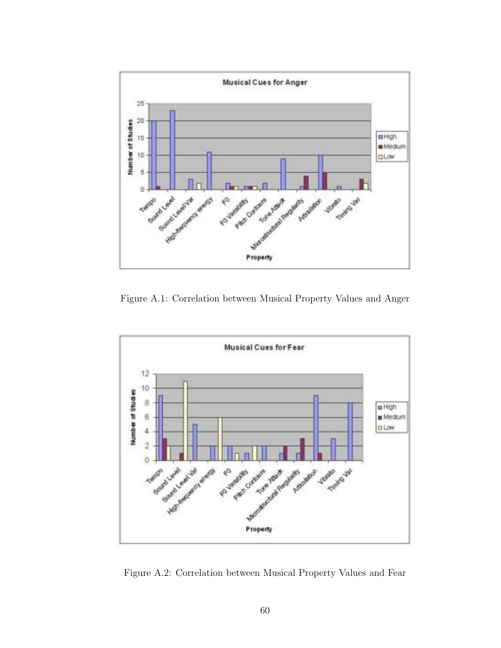

Figure A.1: Correlation between Musical Property Values and Anger



Figure A.2: Correlation between Musical Property Values and Fear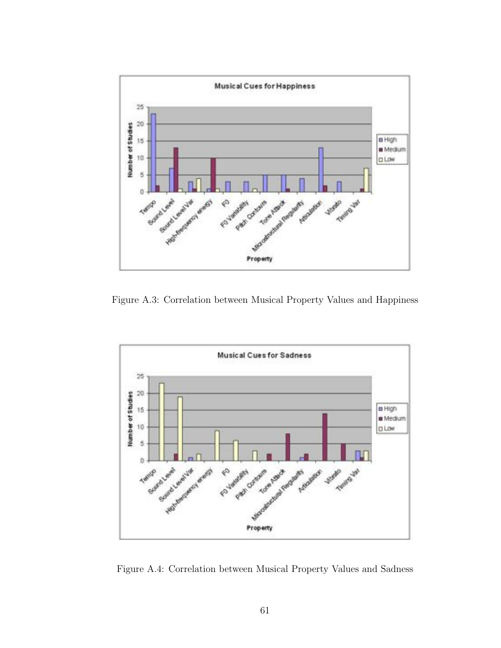

Figure A.3: Correlation between Musical Property Values and Happiness



Figure A.4: Correlation between Musical Property Values and Sadness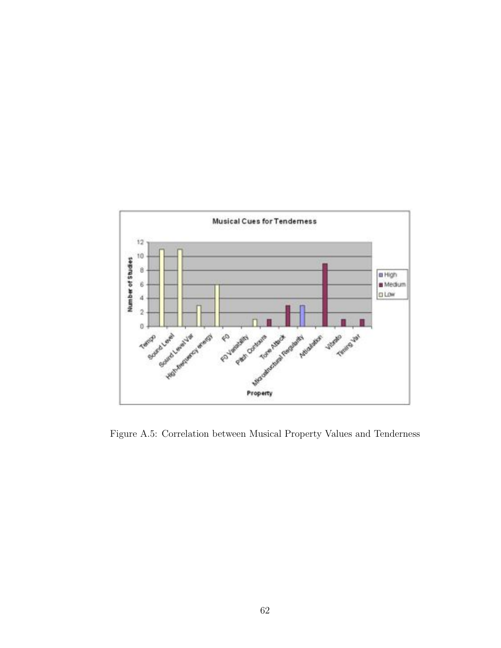

Figure A.5: Correlation between Musical Property Values and Tenderness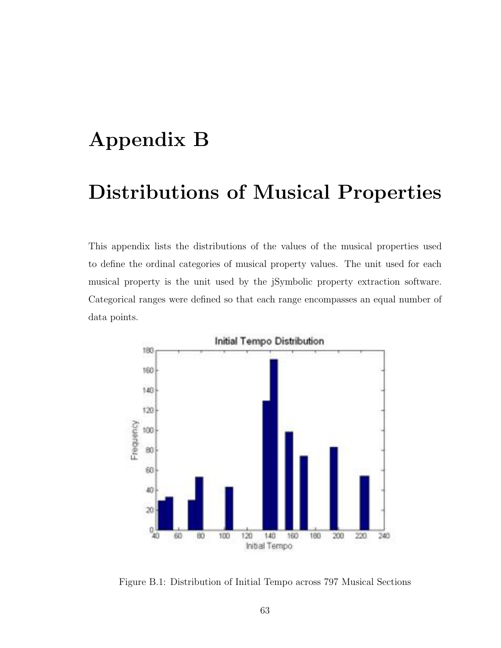## <span id="page-67-0"></span>Appendix B

## Distributions of Musical Properties

This appendix lists the distributions of the values of the musical properties used to define the ordinal categories of musical property values. The unit used for each musical property is the unit used by the jSymbolic property extraction software. Categorical ranges were defined so that each range encompasses an equal number of data points.



Figure B.1: Distribution of Initial Tempo across 797 Musical Sections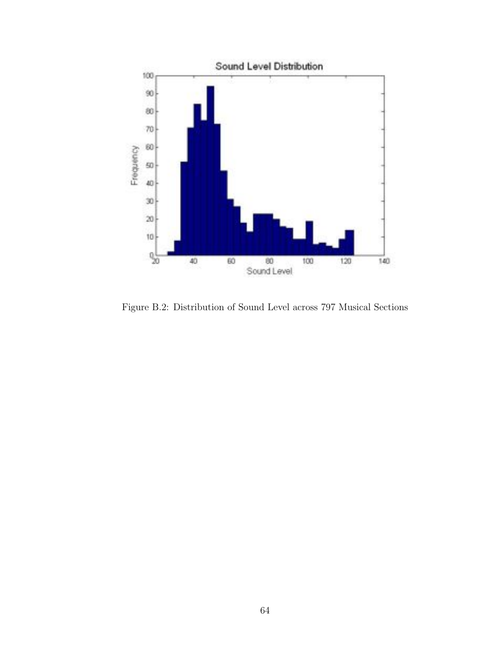

Figure B.2: Distribution of Sound Level across 797 Musical Sections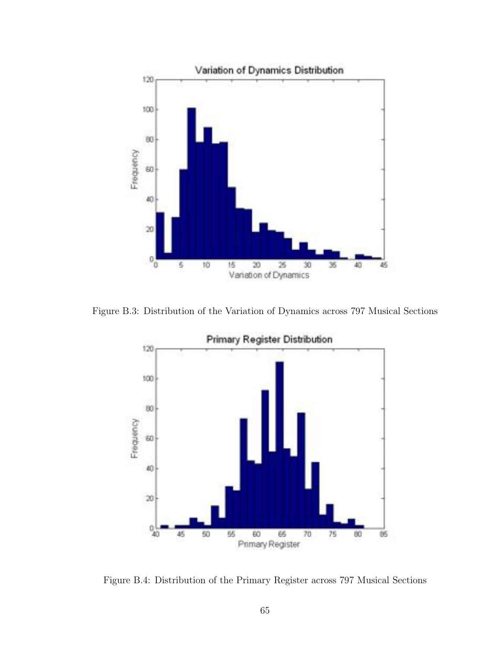

Figure B.3: Distribution of the Variation of Dynamics across 797 Musical Sections



Figure B.4: Distribution of the Primary Register across 797 Musical Sections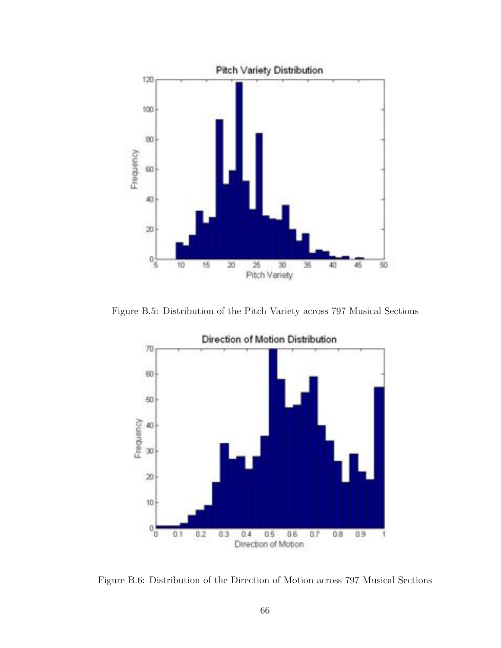

Figure B.5: Distribution of the Pitch Variety across 797 Musical Sections



Figure B.6: Distribution of the Direction of Motion across 797 Musical Sections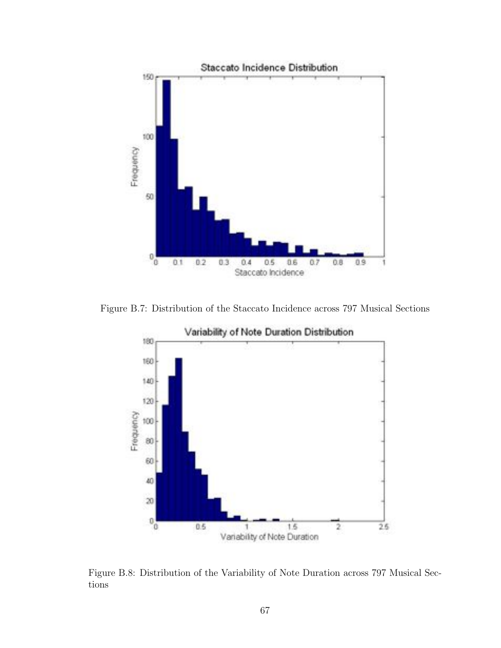

Figure B.7: Distribution of the Staccato Incidence across 797 Musical Sections



Figure B.8: Distribution of the Variability of Note Duration across 797 Musical Sections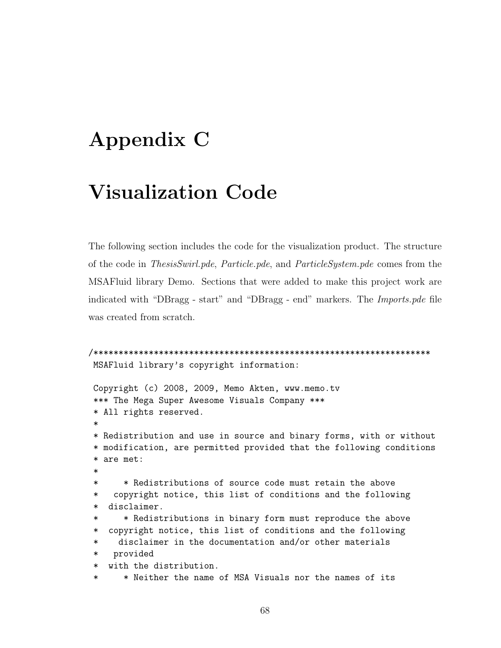# Appendix C

## **Visualization Code**

The following section includes the code for the visualization product. The structure of the code in *ThesisSwirl.pde, Particle.pde, and ParticleSystem.pde* comes from the MSAF luid library Demo. Sections that were added to make this project work are indicated with "DBragg - start" and "DBragg - end" markers. The *Imports.pde* file was created from scratch.

```
MSAFluid library's copyright information:
Copyright (c) 2008, 2009, Memo Akten, www.memo.tv
*** The Mega Super Awesome Visuals Company ***
* All rights reserved.
* Redistribution and use in source and binary forms, with or without
* modification, are permitted provided that the following conditions
* are met:
      * Redistributions of source code must retain the above
\astcopyright notice, this list of conditions and the following
\astdisclaimer.
\ast* Redistributions in binary form must reproduce the above
\ast\astcopyright notice, this list of conditions and the following
     disclaimer in the documentation and/or other materials
\astprovided
\ast* with the distribution.
      * Neither the name of MSA Visuals nor the names of its
```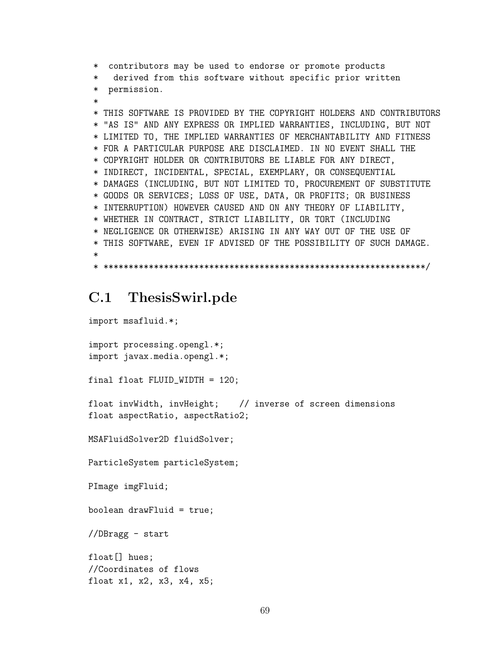\* contributors may be used to endorse or promote products

- derived from this software without specific prior written
- \* permission.
- 

\* THIS SOFTWARE IS PROVIDED BY THE COPYRIGHT HOLDERS AND CONTRIBUTORS \* "AS IS" AND ANY EXPRESS OR IMPLIED WARRANTIES, INCLUDING, BUT NOT \* LIMITED TO, THE IMPLIED WARRANTIES OF MERCHANTABILITY AND FITNESS \* FOR A PARTICULAR PURPOSE ARE DISCLAIMED. IN NO EVENT SHALL THE \* COPYRIGHT HOLDER OR CONTRIBUTORS BE LIABLE FOR ANY DIRECT, \* INDIRECT, INCIDENTAL, SPECIAL, EXEMPLARY, OR CONSEQUENTIAL \* DAMAGES (INCLUDING, BUT NOT LIMITED TO, PROCUREMENT OF SUBSTITUTE \* GOODS OR SERVICES; LOSS OF USE, DATA, OR PROFITS; OR BUSINESS \* INTERRUPTION) HOWEVER CAUSED AND ON ANY THEORY OF LIABILITY, \* WHETHER IN CONTRACT, STRICT LIABILITY, OR TORT (INCLUDING \* NEGLIGENCE OR OTHERWISE) ARISING IN ANY WAY OUT OF THE USE OF \* THIS SOFTWARE, EVEN IF ADVISED OF THE POSSIBILITY OF SUCH DAMAGE. 

### C.1 ThesisSwirl.pde

import msafluid.\*; import processing.opengl.\*; import javax.media.opengl.\*; final float FLUID\_WIDTH =  $120$ ; float invWidth, invHeight; // inverse of screen dimensions float aspectRatio, aspectRatio2; MSAFluidSolver2D fluidSolver; ParticleSystem particleSystem; PImage imgFluid; boolean drawFluid =  $true;$ //DBragg - start  $float[]$  hues; //Coordinates of flows float x1, x2, x3, x4, x5;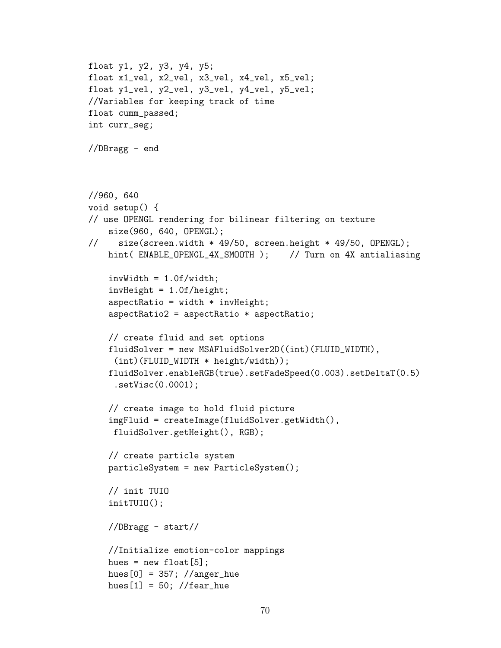```
float y1, y2, y3, y4, y5;
float x1_vel, x2_vel, x3_vel, x4_vel, x5_vel;
float y1_vel, y2_vel, y3_vel, y4_vel, y5_vel;
//Variables for keeping track of time
float cumm_passed;
int curr_seg;
//DBragg - end
//960, 640
void setup() {
// use OPENGL rendering for bilinear filtering on texture
    size(960, 640, OPENGL);
// size(screen.width * 49/50, screen.height * 49/50, OPENGL);
   hint( ENABLE_OPENGL_4X_SMOOTH ); // Turn on 4X antialiasing
    invWidth = 1.0f/width;invHeight = 1.0f/height;
    aspectRatio = width * invHeight;aspectRatio2 = aspectRatio * aspectRatio;
   // create fluid and set options
    fluidSolver = new MSAFluidSolver2D((int)(FLUID_WIDTH),
     (int)(FLUID_WIDTH * height/width));
   fluidSolver.enableRGB(true).setFadeSpeed(0.003).setDeltaT(0.5)
     .setVisc(0.0001);
    // create image to hold fluid picture
    imgFluid = createImage(fluidSolver.getWidth(),
    fluidSolver.getHeight(), RGB);
    // create particle system
   particleSystem = new ParticleSystem();
   // init TUIO
    initTUIO();
    //DBragg - start//
   //Initialize emotion-color mappings
   hues = new float[5];
   hues[0] = 357; //anger_hue
   hues[1] = 50; //fear_hue
```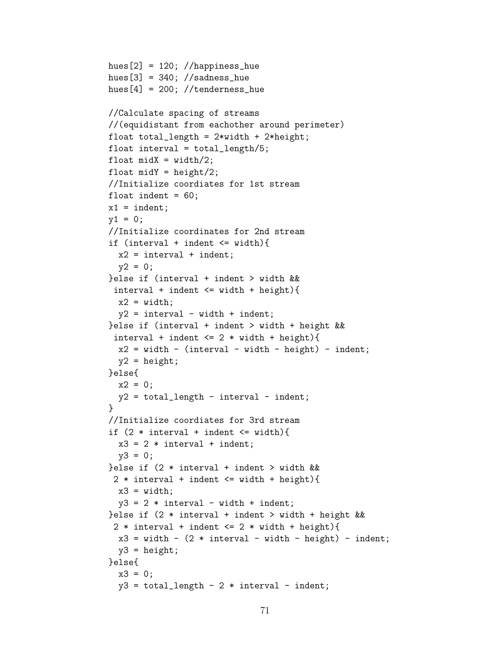```
hues[2] = 120; //happiness_hue
hues[3] = 340; //sadness_hue
hues[4] = 200; //tenderness_hue
//Calculate spacing of streams
//(equidistant from eachother around perimeter)
float total_length = 2*width + 2*height;
float interval = total_length/5;
float midX = width/2;
float midY = height/2;
//Initialize coordiates for 1st stream
float indent = 60:
x1 = indent;v1 = 0;
//Initialize coordinates for 2nd stream
if (interval + indent <= width){
  x2 = interval + indent;y2 = 0;
}else if (interval + indent > width &&
 interval + indent <= width + height){
  x2 = width;y2 = interval - width + indent;}else if (interval + indent > width + height &&
 interval + indent \leq 2 * width + height){
  x2 = width - (interval - width - height) - indent;y2 = height;}else{
  x2 = 0;y2 = total_length - interval - indent;}
//Initialize coordiates for 3rd stream
if (2 * interval + indent \leq width){
 x3 = 2 * interval + indent;y3 = 0;}else if (2 * interval + indent > width &&
 2 * interval + indent <= width + height){
 x3 = width;
  y3 = 2 * interval - width + indent;}else if (2 * interval + indent > width + height &&
 2 * interval + indent \leq 2 * width + height){
  x3 = width - (2 * interval - width - height) - indent;y3 = height;}else{
 x3 = 0;y3 = total_length - 2 * interval - indent;
```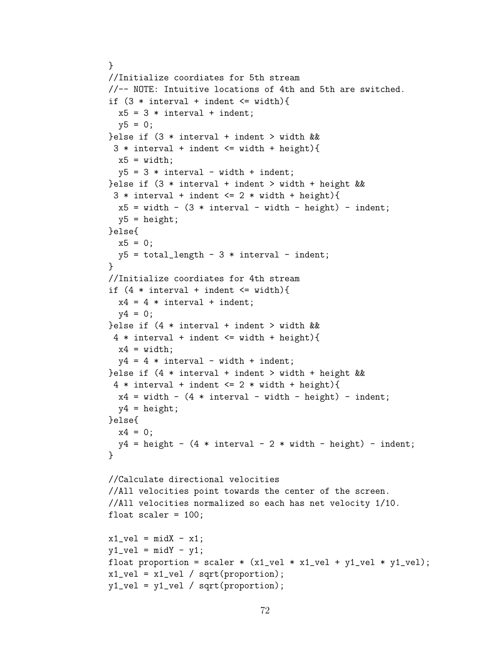```
}
//Initialize coordiates for 5th stream
//-- NOTE: Intuitive locations of 4th and 5th are switched.
if (3 * interval + indent \leq width){
  x5 = 3 * interval + indent;y5 = 0;}else if (3 * interval + indent > width &&
 3 * interval + indent \leq width + height){
  x5 = width;v5 = 3 * interval - width + indent;}else if (3 * interval + indent > width + height &&
 3 * interval + indent \leq 2 * width + height)x5 = width - (3 * interval - width - height) - indent;y5 = height;}else{
  x5 = 0;y5 = total_length - 3 * interval - indent;}
//Initialize coordiates for 4th stream
if (4 * interval + indent \leq width){
  x4 = 4 * interval + indent;y4 = 0;} else if (4 * interval + indent > width &&
 4 * interval + indent \leq width + height){
  x4 = width;y4 = 4 * interval - width + indent;}else if (4 * interval + indent > width + height &&
 4 * interval + indent \leq 2 * width + height){
  x4 = width - (4 * interval - width - height) - indent;y4 = height;}else{
  x4 = 0;
  y4 = height - (4 * interval - 2 * width - height) - indent;}
//Calculate directional velocities
//All velocities point towards the center of the screen.
//All velocities normalized so each has net velocity 1/10.
float scaler = 100;
x1<sub>-</sub>vel = midX - x1;
y1<sub>-</sub>vel = midY - y1;
float proportion = scaler *(x1_{vel} * x1_{vel} + y1_{vel} * y1_{vel});x1<sub>-</sub>vel = x1<sub>-</sub>vel / sqrt( proportion);
y1<sub>-</sub>vel = y1<sub>-</sub>vel / sqrt(proportion);
```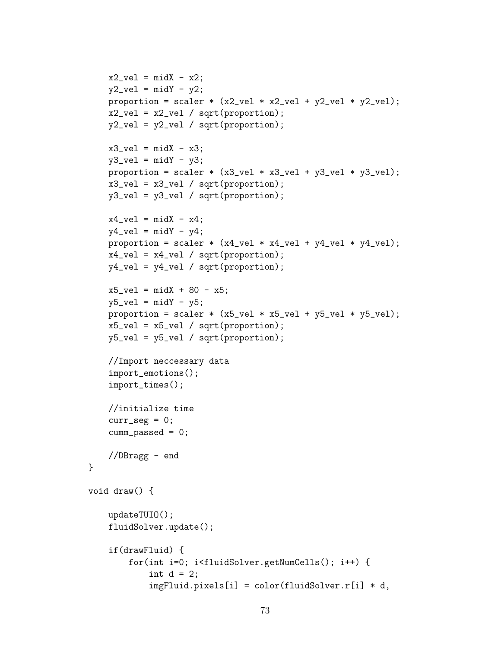```
x2<sub>vel</sub> = mid x2;
     y2<sub>-</sub>vel = midY - y2;
     proportion = scaler * (x2vel * x2vel + y2vel * y2vel);
     x2<sub>-</sub>vel = x2<sub>-</sub>vel / sqrt(proportion);
     y2<sub>-</sub>vel = y2<sub>-</sub>vel / sqrt(proportion);
     x3<sub>-</sub>vel = midX - x3;
     y3<sub>-</sub>vel = midY - y3;
     proportion = scaler *(x3\_vel * x3\_vel + y3\_vel * y3\_vel);x3<sub>-</sub>vel = x3<sub>-</sub>vel / sqrt(proportion);
     y3_vel = y3_vel / sqrt(proportion);
     x4<sub>-</sub>vel = mid X - x4;
     y4<sub>-</sub>vel = mid - y4;
     proportion = scaler *(x4\_vel * x4\_vel + y4\_vel * y4\_vel);x4<sub>-</sub>vel = x4<sub>-</sub>vel / sqrt(proportion);
     y4<sub>-</sub>vel = y4<sub>-</sub>vel / sqrt(proportion);
     x5<sub>-</sub>vel = midX + 80 - x5;
     y5<sub>-</sub>vel = midY - y5;
     proportion = \text{scalar} * (\text{x5\_vel} * \text{x5\_vel} + \text{y5\_vel} * \text{y5\_vel});x5<sub>-</sub>vel = x5<sub>-</sub>vel / sqrt(proportion);
     y5<sub>-</sub>vel = y5<sub>-</sub>vel / sqrt(proportion);
     //Import neccessary data
     import_emotions();
     import_times();
     //initialize time
     curr\_seg = 0;cumm_passed = 0;
     //DBragg - end
void draw() {
     updateTUIO();
     fluidSolver.update();
     if(drawFluid) {
          for(int i=0; i<fluidSolver.getNumCells(); i++) {
               int d = 2;
               imgFluid.pixels[i] = color(fluidSolver.r[i] * d,
```
}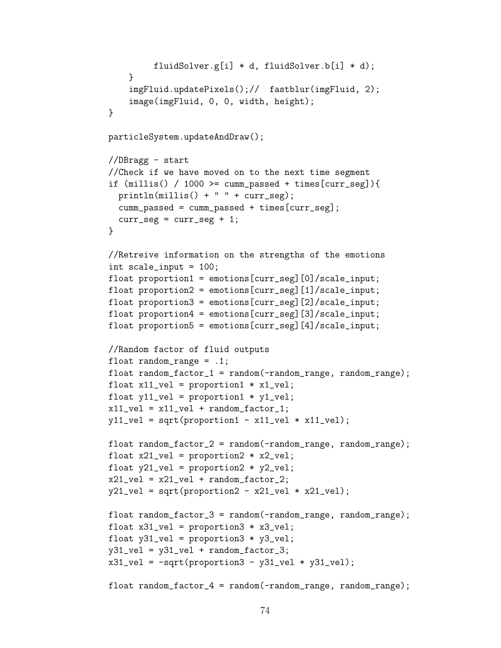```
fluidSolver.g[i] * d, fluidSolver.b[i] * d);
    }
    imgFluid.updatePixels();// fastblur(imgFluid, 2);
    image(imgFluid, 0, 0, width, height);
}
particleSystem.updateAndDraw();
//DBragg - start
//Check if we have moved on to the next time segment
if (millis() / 1000 \geq cumm-passed + times[curr\_seg]){
  printhm(millis() + " " + curr\_seg);cumm_passed = cumm_passed + times[curr_seg];
  curr\_seg = curr\_seg + 1;}
//Retreive information on the strengths of the emotions
int scale_input = 100;
float proportion1 = emotions[curr_seg][0]/scale_input;
float proportion2 = emotions[curr_seg][1]/scale_input;
float proportion3 = emotions[curr_seg][2]/scale_input;
float proportion4 = emotions[curr_seg][3]/scale_input;
float proportion5 = emotions[curr_seg][4]/scale_input;
//Random factor of fluid outputs
float random_range = .1;
float random_factor_1 = random(-random_range, random_range);
float x11_vel = proportion1 * x1_vel;
float y11<sub>-</sub>vel = proportion1 * y1<sub>-</sub>vel;
x11<sub>-</sub>vel = x11<sub>-</sub>vel + random_factor_1;
y11<sub>-</sub>vel = sqrt(proportion1 - x11<sub>-</sub>vel * x11<sub>-</sub>vel);
float random_factor_2 = random(-random_range, random_range);
float x21_vel = proportion2 * x2_vel;
float y21_vel = proportion2 * y2_vel;
x21<sub>-</sub>vel = x21<sub>-</sub>vel + random<sub>-factor<sub>-2</sub>;</sub>
y21<sub>-</sub>vel = sqrt(proportion2 - x21<sub>-</sub>vel * x21<sub>-</sub>vel);
float random_factor_3 = random(-random_range, random_range);
float x31_vel = proportion3 * x3_vel;
float y31<sub>-</sub>vel = proportion3 * y3<sub>-</sub>vel;
y31<sub>-</sub>vel = y31<sub>-</sub>vel + random<sub>-factor<sub>-3;</sub></sub>
x31<sub>-</sub>vel = -sqrt(proportion3 - y31<sub>-</sub>vel * y31<sub>-</sub>vel);
float random_factor_4 = random(-random_range, random_range);
```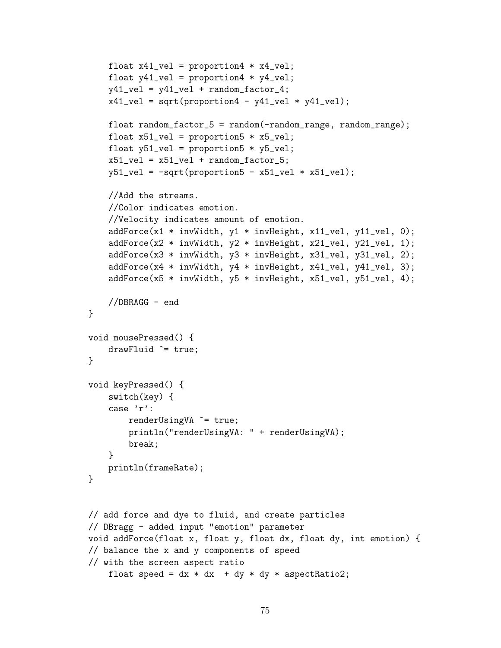```
float x41_vel = proportion4 * x4_vel;
    float y41_vel = proportion4 * y4_vel;
    y41<sub>-</sub>vel = y41<sub>-</sub>vel + random<sub>-factor<sub>-4;</sub></sub>
    x41<sub>-</sub>vel = sqrt(proportion4 - y41<sub>-</sub>vel * y41<sub>-</sub>vel);
    float random_factor_5 = random(-random_range, random_range);
    float x51_vel = proportion5 * x5_vel;
    float y51_vel = proportion5 * y5_vel;
    x51<sub>-</sub>vel = x51<sub>-</sub>vel + random<sub>-factor<sub>-</sub>5;</sub>
    y51<sub>-</sub>vel = -sqrt(proportion5 - x51<sub>-</sub>vel * x51<sub>-</sub>vel);
    //Add the streams.
    //Color indicates emotion.
    //Velocity indicates amount of emotion.
    addForce(x1 * invWidth, y1 * invHeight, x11_vel, y11_vel, 0);
    addForce(x2 * invWidth, y2 * invHeight, x21_vel, y21_vel, 1);
    addForce(x3 * invWidth, y3 * invHeight, x31_vel, y31_vel, 2);
    addForce(x4 * invWidth, y4 * invHeight, x41_vel, y41_vel, 3);
    addForce(x5 * invWidth, y5 * invHeight, x51_vel, y51_vel, 4);
    //DBRAGG - end
}
void mousePressed() {
    drawFluid ^= true;
}
void keyPressed() {
    switch(key) {
    case 'r':
         renderUsingVA ^= true;
         println("renderUsingVA: " + renderUsingVA);
         break;
    }
    println(frameRate);
}
// add force and dye to fluid, and create particles
// DBragg - added input "emotion" parameter
void addForce(float x, float y, float dx, float dy, int emotion) {
// balance the x and y components of speed
// with the screen aspect ratio
    float speed = dx * dx + dy * dy * aspectRatio2;
```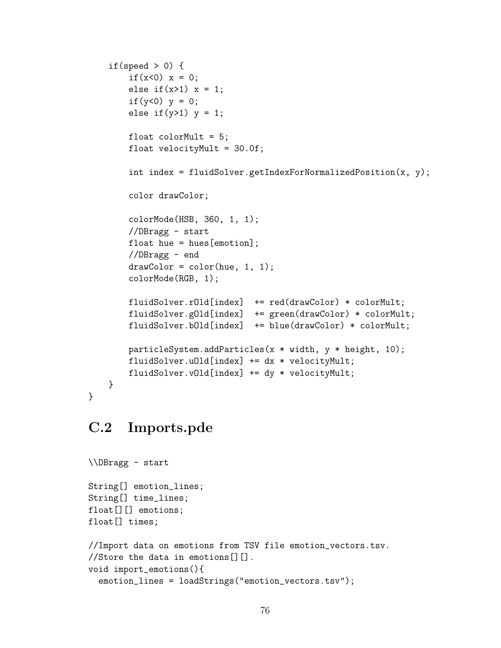```
if(speed > 0) {
        if(x<0) x = 0;
        else if(x>1) x = 1;
        if(y<0) y = 0;
        else if(y>1) y = 1;
        float colorMult = 5;
        float velocityMult = 30.0f;
        int index = fluidSolver.getIndexForNormalizedPosition(x, y);
        color drawColor;
        colorMode(HSB, 360, 1, 1);
        //DBragg - start
        float hue = hues[emotion];
        //DBragg - end
        drawColor = color(hue, 1, 1);colorMode(RGB, 1);
        fluidSolver.rOld[index] += red(drawColor) * colorMult;
        fluidSolver.gOld[index] += green(drawColor) * colorMult;
        fluidSolver.bOld[index] += blue(drawColor) * colorMult;
        particleSystem.addParticles(x * width, y * height, 10);
        fluidSolver.uOld[index] += dx * velocityMult;
        fluidSolver.vOld[index] += dy * velocityMult;
   }
}
```
#### C.2 Imports.pde

```
\\DBragg - start
String[] emotion_lines;
String[] time_lines;
float[][] emotions;
float[] times;
//Import data on emotions from TSV file emotion_vectors.tsv.
//Store the data in emotions[][].
void import_emotions(){
  emotion_lines = loadStrings("emotion_vectors.tsv");
```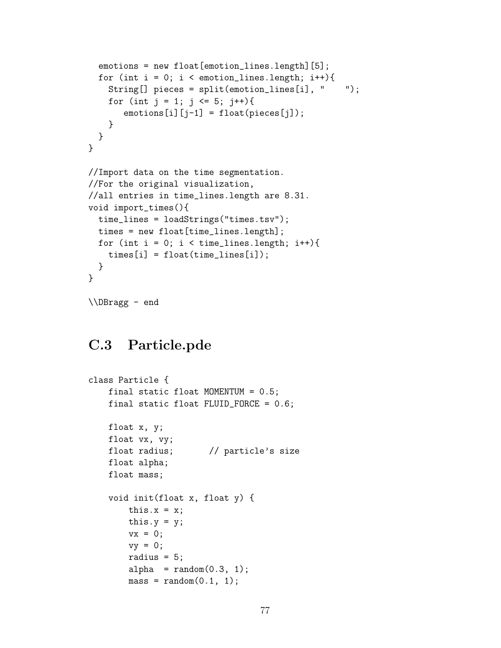```
emotions = new float[emotion_lines.length][5];
  for (int i = 0; i < emotion_lines.length; i++){
    String[] pieces = split(emotion_lines[i], " ");
    for (int j = 1; j \le 5; j^{++}){
       \text{emotions}[i][j-1] = \text{float}(pieces[j]);}
 }
}
//Import data on the time segmentation.
//For the original visualization,
//all entries in time_lines.length are 8.31.
void import_times(){
  time_lines = loadStrings("times.tsv");
 times = new float[time_lines.length];
  for (int i = 0; i < time_lines.length; i++){
    times[i] = float(time_lines[i]);
 }
}
\\DBragg - end
```
#### C.3 Particle.pde

```
class Particle {
   final static float MOMENTUM = 0.5;
    final static float FLUID_FORCE = 0.6;
   float x, y;
   float vx, vy;
   float radius; // particle's size
   float alpha;
   float mass;
   void init(float x, float y) {
       this.x = x;
       this.y = y;
       vx = 0;vy = 0;radius = 5;
       alpha = random(0.3, 1);mass = random(0.1, 1);
```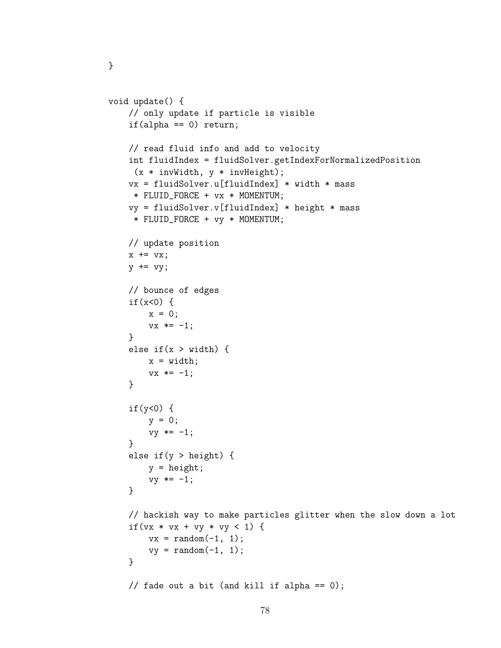```
void update() {
    // only update if particle is visible
    if(alpha == 0) return;// read fluid info and add to velocity
    int fluidIndex = fluidSolver.getIndexForNormalizedPosition
     (x * invWidth, y * invHeight);vx = fluidSolver.u[fluidIndex] * width * mass
     * FLUID_FORCE + vx * MOMENTUM;
    vy = fluidSolver.v[fluidIndex] * height * mass* FLUID_FORCE + vy * MOMENTUM;
   // update position
   x \leftarrow + = v x;y \leftarrow vy;
   // bounce of edges
    if(x<0) {
        x = 0;vx * = -1;}
    else if(x > width) {
        x = width;vx * = -1;}
    if(y<0) {
        y = 0;vy \ast = -1;}
    else if(y > height) {
        y = height;
        vy * = -1;}
    // hackish way to make particles glitter when the slow down a lot
    if(vx * vx + vy * vy < 1) {
        vx = random(-1, 1);vy = random(-1, 1);}
   // fade out a bit (and kill if alpha == 0);
```
}

```
78
```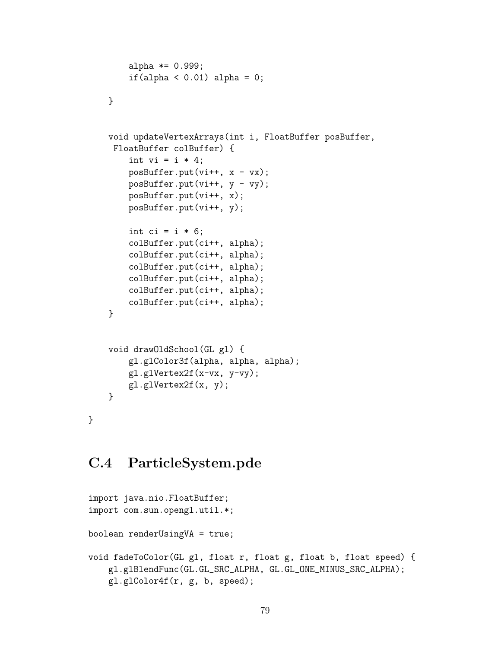```
alpha *= 0.999;if(alpha < 0.01) alpha = 0;
}
void updateVertexArrays(int i, FloatBuffer posBuffer,
 FloatBuffer colBuffer) {
    int vi = i * 4;
    posBuffer.put(vi++, x - vx);posBuffer.put(vi++, y - vy);
    posBuffer.put(vi++, x);
    posBuffer.put(vi++, y);
    int ci = i * 6;
    colBuffer.put(ci++, alpha);
    colBuffer.put(ci++, alpha);
    colBuffer.put(ci++, alpha);
    colBuffer.put(ci++, alpha);
    colBuffer.put(ci++, alpha);
    colBuffer.put(ci++, alpha);
}
void drawOldSchool(GL gl) {
    gl.glColor3f(alpha, alpha, alpha);
    gl.glVertex2f(x-vx, y-vy);
    gl.glVertex2f(x, y);
}
```
### C.4 ParticleSystem.pde

}

```
import java.nio.FloatBuffer;
import com.sun.opengl.util.*;
boolean renderUsingVA = true;
void fadeToColor(GL gl, float r, float g, float b, float speed) {
    gl.glBlendFunc(GL.GL_SRC_ALPHA, GL.GL_ONE_MINUS_SRC_ALPHA);
    gl.glColor4f(r, g, b, speed);
```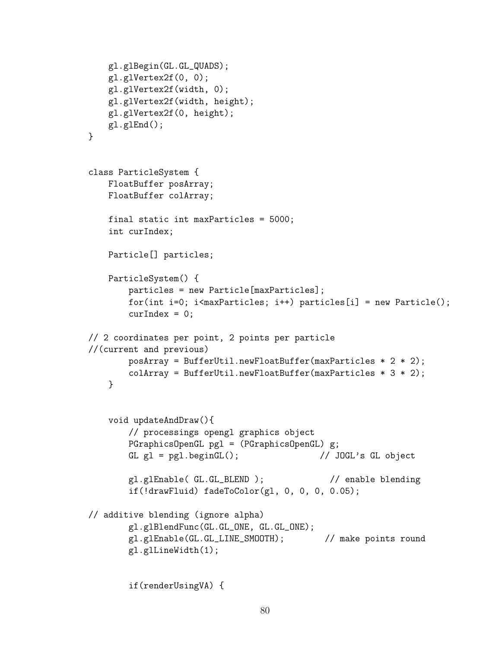```
gl.glBegin(GL.GL_QUADS);
    gl.glVertex2f(0, 0);
    gl.glVertex2f(width, 0);
    gl.glVertex2f(width, height);
    gl.glVertex2f(0, height);
   gl.glEnd();
}
class ParticleSystem {
   FloatBuffer posArray;
   FloatBuffer colArray;
   final static int maxParticles = 5000;
    int curIndex;
   Particle[] particles;
   ParticleSystem() {
        particles = new Particle[maxParticles];
       for(int i=0; i<maxParticles; i++) particles[i] = new Particle();
        curIndex = 0;
// 2 coordinates per point, 2 points per particle
//(current and previous)
       posArray = BufferUtil.newFloatBuffer(maxParticles * 2 * 2);colArray = BufferUtil.newFloatBuffer(maxParticles * 3 * 2);
   }
    void updateAndDraw(){
        // processings opengl graphics object
        PGraphicsOpenGL pgl = (PGraphicsOpenGL) g;
        GL gl = pgl.beginGL(); \frac{1}{3} // JOGL's GL object
        gl.glEnable( GL.GL_BLEND ); // enable blending
        if(!drawFluid) fadeToColor(gl, 0, 0, 0, 0.05);
// additive blending (ignore alpha)
        gl.glBlendFunc(GL.GL_ONE, GL.GL_ONE);
       gl.glEnable(GL.GL_LINE_SMOOTH); // make points round
        gl.glLineWidth(1);
```

```
if(renderUsingVA) {
```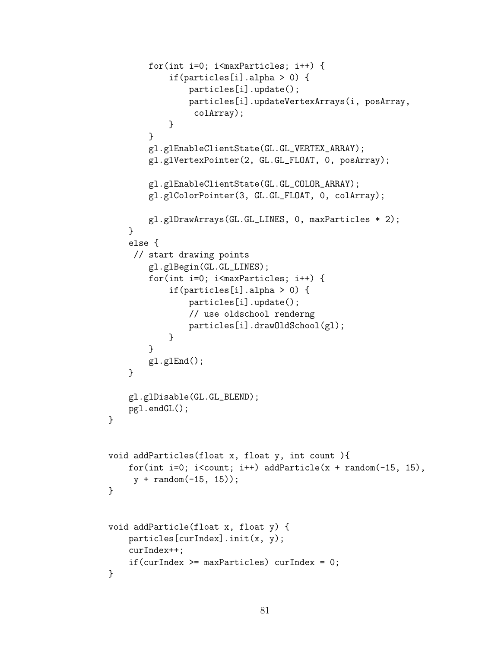```
for(int i=0; i<maxParticles; i++) {
            if(particles[i].alpha > 0) {
                particles[i].update();
                particles[i].updateVertexArrays(i, posArray,
                 colArray);
            }
        }
        gl.glEnableClientState(GL.GL_VERTEX_ARRAY);
        gl.glVertexPointer(2, GL.GL_FLOAT, 0, posArray);
        gl.glEnableClientState(GL.GL_COLOR_ARRAY);
        gl.glColorPointer(3, GL.GL_FLOAT, 0, colArray);
        gl.glDrawArrays(GL.GL_LINES, 0, maxParticles * 2);
    }
    else {
     // start drawing points
        gl.glBegin(GL.GL_LINES);
        for(int i=0; i<maxParticles; i++) {
            if(particles[i].alpha > 0) {
                particles[i].update();
                // use oldschool renderng
                particles[i].drawOldSchool(gl);
            }
        }
        gl.glEnd();
    }
    gl.glDisable(GL.GL_BLEND);
    pgl.endGL();
}
void addParticles(float x, float y, int count ){
    for(int i=0; i<count; i++) addParticle(x + \text{random}(-15, 15),
     y + random(-15, 15);
}
void addParticle(float x, float y) {
    particles[curIndex].init(x, y);
    curIndex++;
    if(curIndex >= maxParticles) curIndex = 0;
}
```